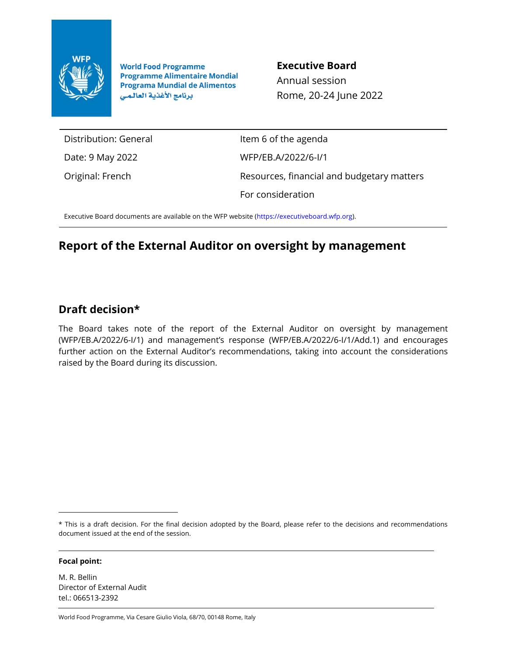

**World Food Programme Programme Alimentaire Mondial Programa Mundial de Alimentos** برنامج الأغذية العالمى

**Executive Board**

Annual session Rome, 20-24 June 2022

Distribution: General

Date: 9 May 2022

Original: French

Item 6 of the agenda WFP/EB.A/2022/6-I/1 Resources, financial and budgetary matters For consideration

Executive Board documents are available on the WFP website [\(https://executiveboard.wfp.org\)](https://executiveboard.wfp.org/).

# **Report of the External Auditor on oversight by management**

## **Draft decision\***

The Board takes note of the report of the External Auditor on oversight by management (WFP/EB.A/2022/6-I/1) and management's response (WFP/EB.A/2022/6-I/1/Add.1) and encourages further action on the External Auditor's recommendations, taking into account the considerations raised by the Board during its discussion.

#### **Focal point:**

M. R. Bellin Director of External Audit tel.: 066513-2392

World Food Programme, Via Cesare Giulio Viola, 68/70, 00148 Rome, Italy

<sup>\*</sup> This is a draft decision. For the final decision adopted by the Board, please refer to the decisions and recommendations document issued at the end of the session.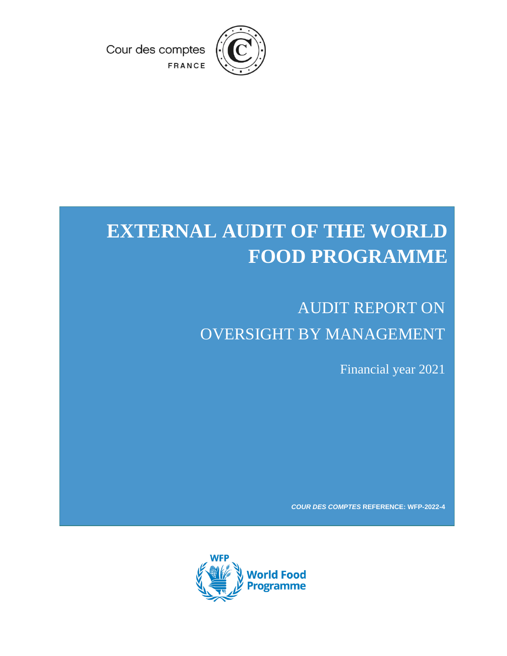

Cour des comptes

FRANCE

# **EXTERNAL AUDIT OF THE WORLD FOOD PROGRAMME**

# AUDIT REPORT ON OVERSIGHT BY MANAGEMENT

Financial year 2021

*COUR DES COMPTES* **REFERENCE: WFP-2022-4**

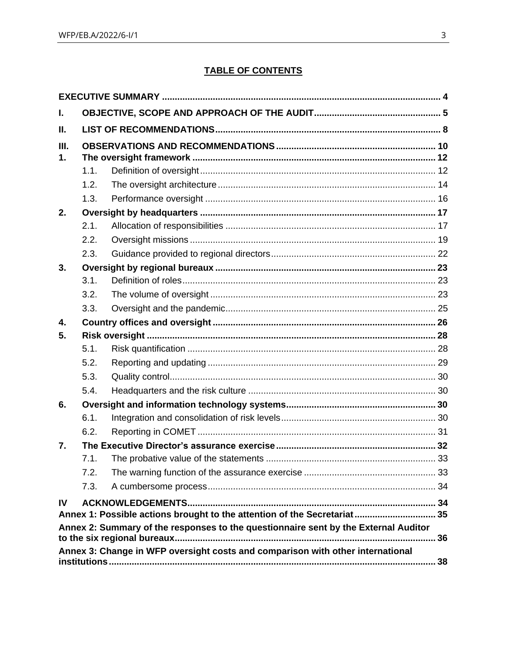## **TABLE OF CONTENTS**

| L.         |      |                                                                                     |    |  |  |  |  |  |  |
|------------|------|-------------------------------------------------------------------------------------|----|--|--|--|--|--|--|
| Ш.         |      |                                                                                     |    |  |  |  |  |  |  |
| III.<br>1. |      |                                                                                     |    |  |  |  |  |  |  |
|            | 1.1. |                                                                                     |    |  |  |  |  |  |  |
|            | 1.2. |                                                                                     |    |  |  |  |  |  |  |
|            | 1.3. |                                                                                     |    |  |  |  |  |  |  |
| 2.         |      |                                                                                     |    |  |  |  |  |  |  |
|            | 2.1. |                                                                                     |    |  |  |  |  |  |  |
|            | 2.2. |                                                                                     |    |  |  |  |  |  |  |
|            | 2.3. |                                                                                     |    |  |  |  |  |  |  |
| 3.         |      |                                                                                     |    |  |  |  |  |  |  |
|            | 3.1. |                                                                                     |    |  |  |  |  |  |  |
|            | 3.2. |                                                                                     |    |  |  |  |  |  |  |
|            | 3.3. |                                                                                     |    |  |  |  |  |  |  |
| 4.         |      |                                                                                     |    |  |  |  |  |  |  |
| 5.         |      |                                                                                     |    |  |  |  |  |  |  |
|            | 5.1. |                                                                                     |    |  |  |  |  |  |  |
|            | 5.2. |                                                                                     |    |  |  |  |  |  |  |
|            | 5.3. |                                                                                     |    |  |  |  |  |  |  |
|            | 5.4. |                                                                                     |    |  |  |  |  |  |  |
| 6.         |      |                                                                                     |    |  |  |  |  |  |  |
|            | 6.1. |                                                                                     |    |  |  |  |  |  |  |
|            | 6.2. |                                                                                     |    |  |  |  |  |  |  |
| 7.         |      |                                                                                     |    |  |  |  |  |  |  |
|            | 7.1. |                                                                                     |    |  |  |  |  |  |  |
|            | 7.2. |                                                                                     |    |  |  |  |  |  |  |
|            | 7.3. |                                                                                     |    |  |  |  |  |  |  |
| IV         |      |                                                                                     |    |  |  |  |  |  |  |
|            |      | Annex 1: Possible actions brought to the attention of the Secretariat 35            |    |  |  |  |  |  |  |
|            |      | Annex 2: Summary of the responses to the questionnaire sent by the External Auditor | 36 |  |  |  |  |  |  |
|            |      | Annex 3: Change in WFP oversight costs and comparison with other international      |    |  |  |  |  |  |  |
|            |      |                                                                                     |    |  |  |  |  |  |  |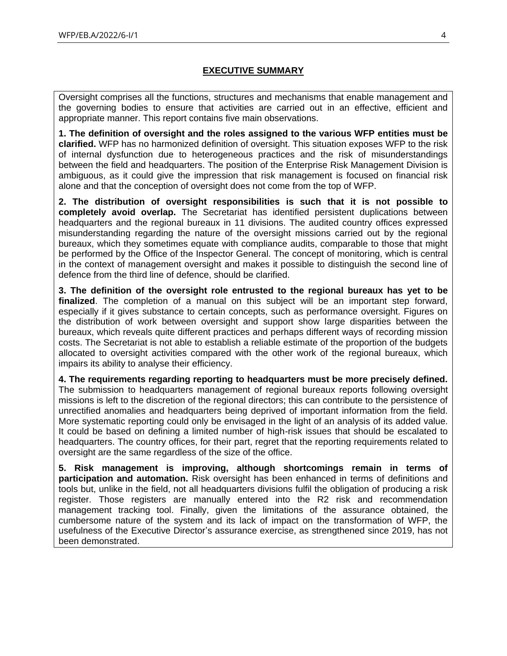## **EXECUTIVE SUMMARY**

<span id="page-3-0"></span>Oversight comprises all the functions, structures and mechanisms that enable management and the governing bodies to ensure that activities are carried out in an effective, efficient and appropriate manner. This report contains five main observations.

**1. The definition of oversight and the roles assigned to the various WFP entities must be clarified.** WFP has no harmonized definition of oversight. This situation exposes WFP to the risk of internal dysfunction due to heterogeneous practices and the risk of misunderstandings between the field and headquarters. The position of the Enterprise Risk Management Division is ambiguous, as it could give the impression that risk management is focused on financial risk alone and that the conception of oversight does not come from the top of WFP.

**2. The distribution of oversight responsibilities is such that it is not possible to completely avoid overlap.** The Secretariat has identified persistent duplications between headquarters and the regional bureaux in 11 divisions. The audited country offices expressed misunderstanding regarding the nature of the oversight missions carried out by the regional bureaux, which they sometimes equate with compliance audits, comparable to those that might be performed by the Office of the Inspector General. The concept of monitoring, which is central in the context of management oversight and makes it possible to distinguish the second line of defence from the third line of defence, should be clarified.

**3. The definition of the oversight role entrusted to the regional bureaux has yet to be finalized**. The completion of a manual on this subject will be an important step forward, especially if it gives substance to certain concepts, such as performance oversight. Figures on the distribution of work between oversight and support show large disparities between the bureaux, which reveals quite different practices and perhaps different ways of recording mission costs. The Secretariat is not able to establish a reliable estimate of the proportion of the budgets allocated to oversight activities compared with the other work of the regional bureaux, which impairs its ability to analyse their efficiency.

**4. The requirements regarding reporting to headquarters must be more precisely defined.** The submission to headquarters management of regional bureaux reports following oversight missions is left to the discretion of the regional directors; this can contribute to the persistence of unrectified anomalies and headquarters being deprived of important information from the field. More systematic reporting could only be envisaged in the light of an analysis of its added value. It could be based on defining a limited number of high-risk issues that should be escalated to headquarters. The country offices, for their part, regret that the reporting requirements related to oversight are the same regardless of the size of the office.

**5. Risk management is improving, although shortcomings remain in terms of participation and automation.** Risk oversight has been enhanced in terms of definitions and tools but, unlike in the field, not all headquarters divisions fulfil the obligation of producing a risk register. Those registers are manually entered into the R2 risk and recommendation management tracking tool. Finally, given the limitations of the assurance obtained, the cumbersome nature of the system and its lack of impact on the transformation of WFP, the usefulness of the Executive Director's assurance exercise, as strengthened since 2019, has not been demonstrated.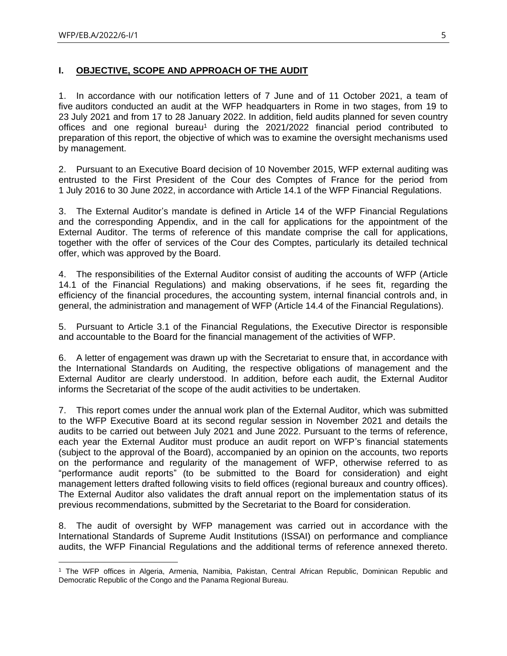## <span id="page-4-0"></span>**I. OBJECTIVE, SCOPE AND APPROACH OF THE AUDIT**

1. In accordance with our notification letters of 7 June and of 11 October 2021, a team of five auditors conducted an audit at the WFP headquarters in Rome in two stages, from 19 to 23 July 2021 and from 17 to 28 January 2022. In addition, field audits planned for seven country offices and one regional bureau<sup>1</sup> during the  $2021/2022$  financial period contributed to preparation of this report, the objective of which was to examine the oversight mechanisms used by management.

2. Pursuant to an Executive Board decision of 10 November 2015, WFP external auditing was entrusted to the First President of the Cour des Comptes of France for the period from 1 July 2016 to 30 June 2022, in accordance with Article 14.1 of the WFP Financial Regulations.

3. The External Auditor's mandate is defined in Article 14 of the WFP Financial Regulations and the corresponding Appendix, and in the call for applications for the appointment of the External Auditor. The terms of reference of this mandate comprise the call for applications, together with the offer of services of the Cour des Comptes, particularly its detailed technical offer, which was approved by the Board.

4. The responsibilities of the External Auditor consist of auditing the accounts of WFP (Article 14.1 of the Financial Regulations) and making observations, if he sees fit, regarding the efficiency of the financial procedures, the accounting system, internal financial controls and, in general, the administration and management of WFP (Article 14.4 of the Financial Regulations).

5. Pursuant to Article 3.1 of the Financial Regulations, the Executive Director is responsible and accountable to the Board for the financial management of the activities of WFP.

6. A letter of engagement was drawn up with the Secretariat to ensure that, in accordance with the International Standards on Auditing, the respective obligations of management and the External Auditor are clearly understood. In addition, before each audit, the External Auditor informs the Secretariat of the scope of the audit activities to be undertaken.

7. This report comes under the annual work plan of the External Auditor, which was submitted to the WFP Executive Board at its second regular session in November 2021 and details the audits to be carried out between July 2021 and June 2022. Pursuant to the terms of reference, each year the External Auditor must produce an audit report on WFP's financial statements (subject to the approval of the Board), accompanied by an opinion on the accounts, two reports on the performance and regularity of the management of WFP, otherwise referred to as "performance audit reports" (to be submitted to the Board for consideration) and eight management letters drafted following visits to field offices (regional bureaux and country offices). The External Auditor also validates the draft annual report on the implementation status of its previous recommendations, submitted by the Secretariat to the Board for consideration.

8. The audit of oversight by WFP management was carried out in accordance with the International Standards of Supreme Audit Institutions (ISSAI) on performance and compliance audits, the WFP Financial Regulations and the additional terms of reference annexed thereto.

<sup>1</sup> The WFP offices in Algeria, Armenia, Namibia, Pakistan, Central African Republic, Dominican Republic and Democratic Republic of the Congo and the Panama Regional Bureau.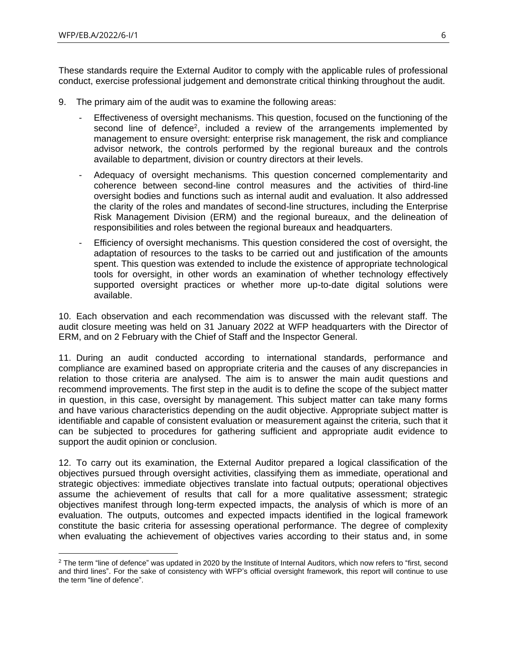These standards require the External Auditor to comply with the applicable rules of professional conduct, exercise professional judgement and demonstrate critical thinking throughout the audit.

- 9. The primary aim of the audit was to examine the following areas:
	- Effectiveness of oversight mechanisms. This question, focused on the functioning of the second line of defence<sup>2</sup>, included a review of the arrangements implemented by management to ensure oversight: enterprise risk management, the risk and compliance advisor network, the controls performed by the regional bureaux and the controls available to department, division or country directors at their levels.
	- Adequacy of oversight mechanisms. This question concerned complementarity and coherence between second-line control measures and the activities of third-line oversight bodies and functions such as internal audit and evaluation. It also addressed the clarity of the roles and mandates of second-line structures, including the Enterprise Risk Management Division (ERM) and the regional bureaux, and the delineation of responsibilities and roles between the regional bureaux and headquarters.
	- Efficiency of oversight mechanisms. This question considered the cost of oversight, the adaptation of resources to the tasks to be carried out and justification of the amounts spent. This question was extended to include the existence of appropriate technological tools for oversight, in other words an examination of whether technology effectively supported oversight practices or whether more up-to-date digital solutions were available.

10. Each observation and each recommendation was discussed with the relevant staff. The audit closure meeting was held on 31 January 2022 at WFP headquarters with the Director of ERM, and on 2 February with the Chief of Staff and the Inspector General.

11. During an audit conducted according to international standards, performance and compliance are examined based on appropriate criteria and the causes of any discrepancies in relation to those criteria are analysed. The aim is to answer the main audit questions and recommend improvements. The first step in the audit is to define the scope of the subject matter in question, in this case, oversight by management. This subject matter can take many forms and have various characteristics depending on the audit objective. Appropriate subject matter is identifiable and capable of consistent evaluation or measurement against the criteria, such that it can be subjected to procedures for gathering sufficient and appropriate audit evidence to support the audit opinion or conclusion.

12. To carry out its examination, the External Auditor prepared a logical classification of the objectives pursued through oversight activities, classifying them as immediate, operational and strategic objectives: immediate objectives translate into factual outputs; operational objectives assume the achievement of results that call for a more qualitative assessment; strategic objectives manifest through long-term expected impacts, the analysis of which is more of an evaluation. The outputs, outcomes and expected impacts identified in the logical framework constitute the basic criteria for assessing operational performance. The degree of complexity when evaluating the achievement of objectives varies according to their status and, in some

<sup>&</sup>lt;sup>2</sup> The term "line of defence" was updated in 2020 by the Institute of Internal Auditors, which now refers to "first, second and third lines". For the sake of consistency with WFP's official oversight framework, this report will continue to use the term "line of defence".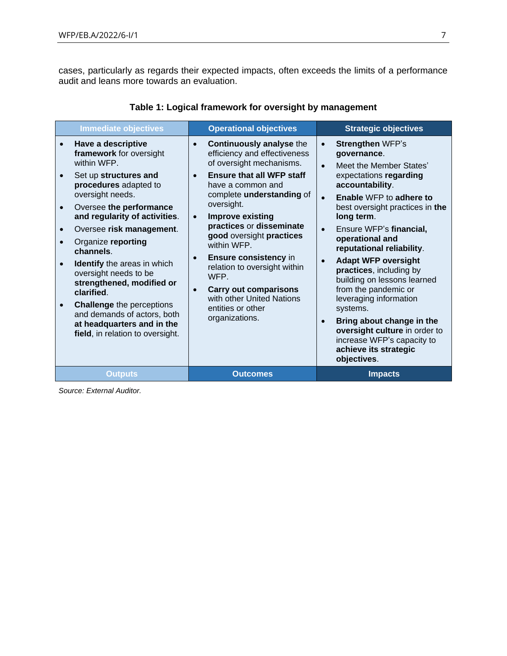cases, particularly as regards their expected impacts, often exceeds the limits of a performance audit and leans more towards an evaluation.

| <b>Immediate objectives</b>                                                                                                                                                                                                                                                                                                                                                                                                                                                                                  | <b>Operational objectives</b>                                                                                                                                                                                                                                                                                                                                                                                                                                                                                              | <b>Strategic objectives</b>                                                                                                                                                                                                                                                                                                                                                                                                                                                                                                                                                                                                                   |
|--------------------------------------------------------------------------------------------------------------------------------------------------------------------------------------------------------------------------------------------------------------------------------------------------------------------------------------------------------------------------------------------------------------------------------------------------------------------------------------------------------------|----------------------------------------------------------------------------------------------------------------------------------------------------------------------------------------------------------------------------------------------------------------------------------------------------------------------------------------------------------------------------------------------------------------------------------------------------------------------------------------------------------------------------|-----------------------------------------------------------------------------------------------------------------------------------------------------------------------------------------------------------------------------------------------------------------------------------------------------------------------------------------------------------------------------------------------------------------------------------------------------------------------------------------------------------------------------------------------------------------------------------------------------------------------------------------------|
| Have a descriptive<br>framework for oversight<br>within WFP.<br>Set up structures and<br>procedures adapted to<br>oversight needs.<br>Oversee the performance<br>and regularity of activities.<br>Oversee risk management.<br>Organize reporting<br>channels.<br><b>Identify</b> the areas in which<br>oversight needs to be<br>strengthened, modified or<br>clarified.<br><b>Challenge the perceptions</b><br>and demands of actors, both<br>at headquarters and in the<br>field, in relation to oversight. | <b>Continuously analyse the</b><br>$\bullet$<br>efficiency and effectiveness<br>of oversight mechanisms.<br><b>Ensure that all WFP staff</b><br>$\bullet$<br>have a common and<br>complete understanding of<br>oversight.<br><b>Improve existing</b><br>$\bullet$<br>practices or disseminate<br>good oversight practices<br>within WFP.<br>Ensure consistency in<br>$\bullet$<br>relation to oversight within<br>WFP.<br><b>Carry out comparisons</b><br>with other United Nations<br>entities or other<br>organizations. | <b>Strengthen WFP's</b><br>$\bullet$<br>governance.<br>Meet the Member States'<br>$\bullet$<br>expectations regarding<br>accountability.<br>Enable WFP to adhere to<br>$\bullet$<br>best oversight practices in the<br>long term.<br>Ensure WFP's financial,<br>$\bullet$<br>operational and<br>reputational reliability.<br><b>Adapt WFP oversight</b><br>$\bullet$<br>practices, including by<br>building on lessons learned<br>from the pandemic or<br>leveraging information<br>systems.<br>Bring about change in the<br>$\bullet$<br>oversight culture in order to<br>increase WFP's capacity to<br>achieve its strategic<br>objectives. |
| <b>Outputs</b>                                                                                                                                                                                                                                                                                                                                                                                                                                                                                               | <b>Outcomes</b>                                                                                                                                                                                                                                                                                                                                                                                                                                                                                                            | <b>Impacts</b>                                                                                                                                                                                                                                                                                                                                                                                                                                                                                                                                                                                                                                |

## **Table 1: Logical framework for oversight by management**

*Source: External Auditor.*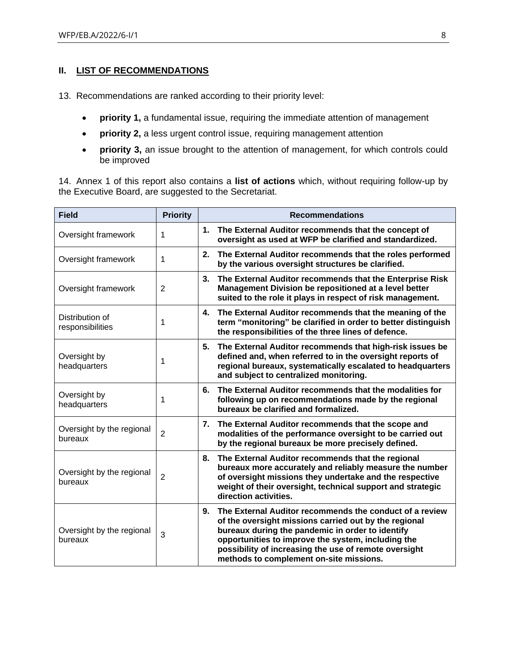## <span id="page-7-0"></span>**II. LIST OF RECOMMENDATIONS**

13. Recommendations are ranked according to their priority level:

- **priority 1,** a fundamental issue, requiring the immediate attention of management
- **priority 2,** a less urgent control issue, requiring management attention
- **priority 3,** an issue brought to the attention of management, for which controls could be improved

14. Annex 1 of this report also contains a **list of actions** which, without requiring follow-up by the Executive Board, are suggested to the Secretariat.

| <b>Field</b>                         | <b>Priority</b> | <b>Recommendations</b>                                                                                                                                                                                                                                                                                                               |
|--------------------------------------|-----------------|--------------------------------------------------------------------------------------------------------------------------------------------------------------------------------------------------------------------------------------------------------------------------------------------------------------------------------------|
| Oversight framework                  | 1               | The External Auditor recommends that the concept of<br>1.<br>oversight as used at WFP be clarified and standardized.                                                                                                                                                                                                                 |
| Oversight framework                  | 1               | 2.<br>The External Auditor recommends that the roles performed<br>by the various oversight structures be clarified.                                                                                                                                                                                                                  |
| Oversight framework                  | $\overline{2}$  | 3.<br>The External Auditor recommends that the Enterprise Risk<br>Management Division be repositioned at a level better<br>suited to the role it plays in respect of risk management.                                                                                                                                                |
| Distribution of<br>responsibilities  | 1               | The External Auditor recommends that the meaning of the<br>4.<br>term "monitoring" be clarified in order to better distinguish<br>the responsibilities of the three lines of defence.                                                                                                                                                |
| Oversight by<br>headquarters         | 1               | 5.<br>The External Auditor recommends that high-risk issues be<br>defined and, when referred to in the oversight reports of<br>regional bureaux, systematically escalated to headquarters<br>and subject to centralized monitoring.                                                                                                  |
| Oversight by<br>headquarters         | 1               | The External Auditor recommends that the modalities for<br>6.<br>following up on recommendations made by the regional<br>bureaux be clarified and formalized.                                                                                                                                                                        |
| Oversight by the regional<br>bureaux | $\overline{2}$  | 7.<br>The External Auditor recommends that the scope and<br>modalities of the performance oversight to be carried out<br>by the regional bureaux be more precisely defined.                                                                                                                                                          |
| Oversight by the regional<br>bureaux | 2               | The External Auditor recommends that the regional<br>8.<br>bureaux more accurately and reliably measure the number<br>of oversight missions they undertake and the respective<br>weight of their oversight, technical support and strategic<br>direction activities.                                                                 |
| Oversight by the regional<br>bureaux | 3               | 9.<br>The External Auditor recommends the conduct of a review<br>of the oversight missions carried out by the regional<br>bureaux during the pandemic in order to identify<br>opportunities to improve the system, including the<br>possibility of increasing the use of remote oversight<br>methods to complement on-site missions. |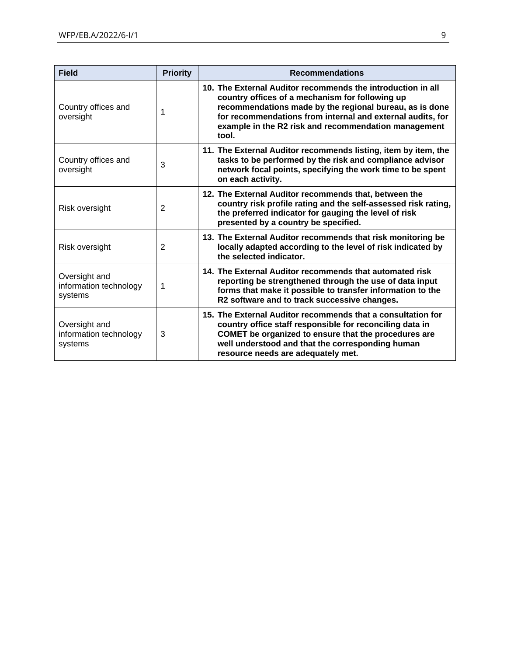| <b>Field</b>                                       | <b>Priority</b> | <b>Recommendations</b>                                                                                                                                                                                                                                                                                   |
|----------------------------------------------------|-----------------|----------------------------------------------------------------------------------------------------------------------------------------------------------------------------------------------------------------------------------------------------------------------------------------------------------|
| Country offices and<br>oversight                   | 1               | 10. The External Auditor recommends the introduction in all<br>country offices of a mechanism for following up<br>recommendations made by the regional bureau, as is done<br>for recommendations from internal and external audits, for<br>example in the R2 risk and recommendation management<br>tool. |
| Country offices and<br>oversight                   | 3               | 11. The External Auditor recommends listing, item by item, the<br>tasks to be performed by the risk and compliance advisor<br>network focal points, specifying the work time to be spent<br>on each activity.                                                                                            |
| Risk oversight                                     | 2               | 12. The External Auditor recommends that, between the<br>country risk profile rating and the self-assessed risk rating,<br>the preferred indicator for gauging the level of risk<br>presented by a country be specified.                                                                                 |
| Risk oversight                                     | 2               | 13. The External Auditor recommends that risk monitoring be<br>locally adapted according to the level of risk indicated by<br>the selected indicator.                                                                                                                                                    |
| Oversight and<br>information technology<br>systems | 1               | 14. The External Auditor recommends that automated risk<br>reporting be strengthened through the use of data input<br>forms that make it possible to transfer information to the<br>R2 software and to track successive changes.                                                                         |
| Oversight and<br>information technology<br>systems | 3               | 15. The External Auditor recommends that a consultation for<br>country office staff responsible for reconciling data in<br>COMET be organized to ensure that the procedures are<br>well understood and that the corresponding human<br>resource needs are adequately met.                                |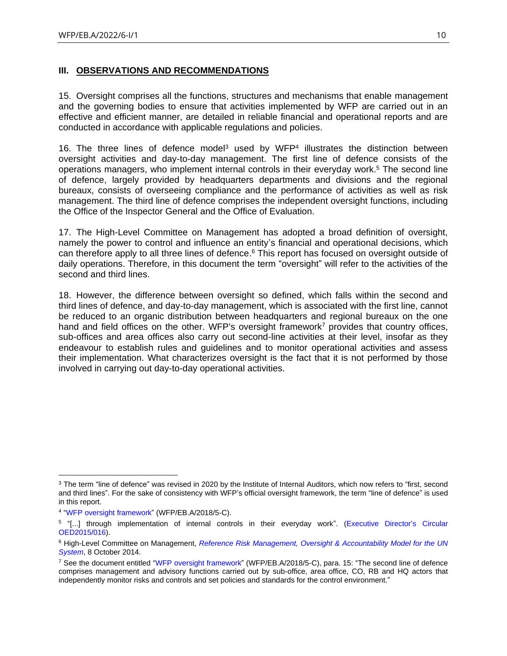#### <span id="page-9-0"></span>**III. OBSERVATIONS AND RECOMMENDATIONS**

15. Oversight comprises all the functions, structures and mechanisms that enable management and the governing bodies to ensure that activities implemented by WFP are carried out in an effective and efficient manner, are detailed in reliable financial and operational reports and are conducted in accordance with applicable regulations and policies.

16. The three lines of defence model<sup>3</sup> used by WFP<sup>4</sup> illustrates the distinction between oversight activities and day-to-day management. The first line of defence consists of the operations managers, who implement internal controls in their everyday work. <sup>5</sup> The second line of defence, largely provided by headquarters departments and divisions and the regional bureaux, consists of overseeing compliance and the performance of activities as well as risk management. The third line of defence comprises the independent oversight functions, including the Office of the Inspector General and the Office of Evaluation.

17. The High-Level Committee on Management has adopted a broad definition of oversight, namely the power to control and influence an entity's financial and operational decisions, which can therefore apply to all three lines of defence. <sup>6</sup> This report has focused on oversight outside of daily operations. Therefore, in this document the term "oversight" will refer to the activities of the second and third lines.

18. However, the difference between oversight so defined, which falls within the second and third lines of defence, and day-to-day management, which is associated with the first line, cannot be reduced to an organic distribution between headquarters and regional bureaux on the one hand and field offices on the other. WFP's oversight framework<sup>7</sup> provides that country offices, sub-offices and area offices also carry out second-line activities at their level, insofar as they endeavour to establish rules and guidelines and to monitor operational activities and assess their implementation. What characterizes oversight is the fact that it is not performed by those involved in carrying out day-to-day operational activities.

<sup>&</sup>lt;sup>3</sup> The term "line of defence" was revised in 2020 by the Institute of Internal Auditors, which now refers to "first, second and third lines". For the sake of consistency with WFP's official oversight framework, the term "line of defence" is used in this report.

<sup>4</sup> ["WFP oversight framework"](https://executiveboard.wfp.org/document_download/WFP-0000070382) (WFP/EB.A/2018/5-C).

<sup>5</sup> "[...] through implementation of internal controls in their everyday work". [\(Executive Director's Circular](https://docs.wfp.org/api/documents/WFP-0000011716/download/)  [OED2015/016\)](https://docs.wfp.org/api/documents/WFP-0000011716/download/).

<sup>6</sup> High-Level Committee on Management, *[Reference Risk Management, Oversight & Accountability Model for the UN](https://unsceb.org/sites/default/files/2020-09/CEB-2014-HLCM-14-Rev.1_Risk%20Management,%20Oversight%20and%20Accountability%20Model.pdf)  [System](https://unsceb.org/sites/default/files/2020-09/CEB-2014-HLCM-14-Rev.1_Risk%20Management,%20Oversight%20and%20Accountability%20Model.pdf)*, 8 October 2014.

<sup>&</sup>lt;sup>7</sup> See the document entitled ["WFP oversight framework"](https://executiveboard.wfp.org/document_download/WFP-0000070382) (WFP/EB.A/2018/5-C), para. 15: "The second line of defence comprises management and advisory functions carried out by sub-office, area office, CO, RB and HQ actors that independently monitor risks and controls and set policies and standards for the control environment."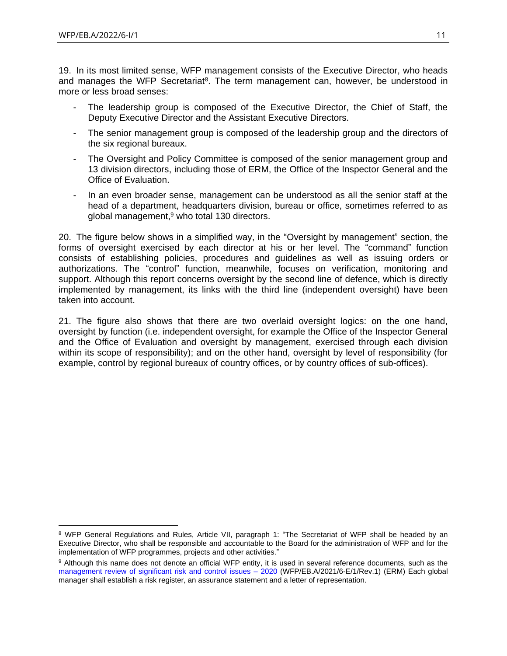19. In its most limited sense, WFP management consists of the Executive Director, who heads and manages the WFP Secretariat<sup>8</sup>. The term management can, however, be understood in more or less broad senses:

- The leadership group is composed of the Executive Director, the Chief of Staff, the Deputy Executive Director and the Assistant Executive Directors.
- The senior management group is composed of the leadership group and the directors of the six regional bureaux.
- The Oversight and Policy Committee is composed of the senior management group and 13 division directors, including those of ERM, the Office of the Inspector General and the Office of Evaluation.
- In an even broader sense, management can be understood as all the senior staff at the head of a department, headquarters division, bureau or office, sometimes referred to as global management, <sup>9</sup> who total 130 directors.

20. The figure below shows in a simplified way, in the "Oversight by management" section, the forms of oversight exercised by each director at his or her level. The "command" function consists of establishing policies, procedures and guidelines as well as issuing orders or authorizations. The "control" function, meanwhile, focuses on verification, monitoring and support. Although this report concerns oversight by the second line of defence, which is directly implemented by management, its links with the third line (independent oversight) have been taken into account.

21. The figure also shows that there are two overlaid oversight logics: on the one hand, oversight by function (i.e. independent oversight, for example the Office of the Inspector General and the Office of Evaluation and oversight by management, exercised through each division within its scope of responsibility); and on the other hand, oversight by level of responsibility (for example, control by regional bureaux of country offices, or by country offices of sub-offices).

<sup>8</sup> WFP General Regulations and Rules, Article VII, paragraph 1: "The Secretariat of WFP shall be headed by an Executive Director, who shall be responsible and accountable to the Board for the administration of WFP and for the implementation of WFP programmes, projects and other activities."

<sup>9</sup> Although this name does not denote an official WFP entity, it is used in several reference documents, such as the [management review of significant risk and control issues –](https://executiveboard.wfp.org/document_download/WFP-0000127858) 2020 (WFP/EB.A/2021/6-E/1/Rev.1) (ERM) Each global manager shall establish a risk register, an assurance statement and a letter of representation.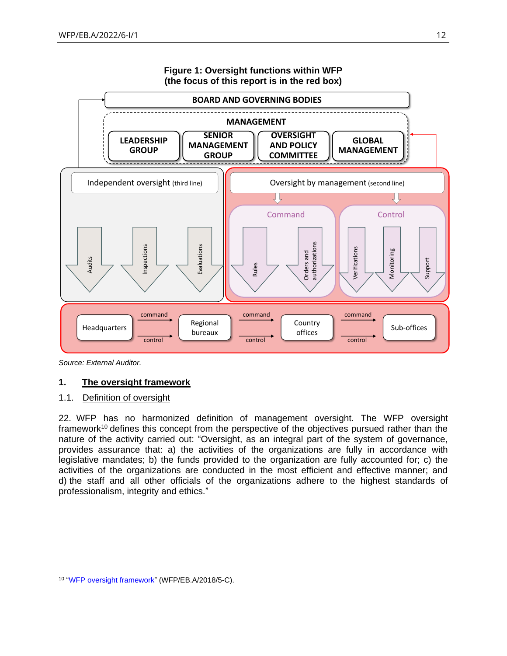

<span id="page-11-0"></span>*Source: External Auditor.*

## **1. The oversight framework**

#### <span id="page-11-1"></span>1.1. Definition of oversight

22. WFP has no harmonized definition of management oversight. The WFP oversight framework<sup>10</sup> defines this concept from the perspective of the objectives pursued rather than the nature of the activity carried out: "Oversight, as an integral part of the system of governance, provides assurance that: a) the activities of the organizations are fully in accordance with legislative mandates; b) the funds provided to the organization are fully accounted for; c) the activities of the organizations are conducted in the most efficient and effective manner; and d) the staff and all other officials of the organizations adhere to the highest standards of professionalism, integrity and ethics."

<sup>&</sup>lt;sup>10</sup> "WFP oversight framework" (WFP/EB.A/2018/5-C).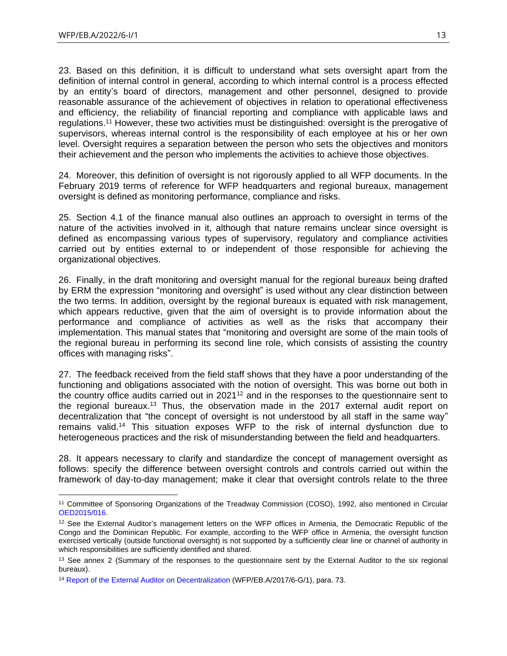23. Based on this definition, it is difficult to understand what sets oversight apart from the definition of internal control in general, according to which internal control is a process effected by an entity's board of directors, management and other personnel, designed to provide reasonable assurance of the achievement of objectives in relation to operational effectiveness and efficiency, the reliability of financial reporting and compliance with applicable laws and regulations.<sup>11</sup> However, these two activities must be distinguished: oversight is the prerogative of supervisors, whereas internal control is the responsibility of each employee at his or her own level. Oversight requires a separation between the person who sets the objectives and monitors their achievement and the person who implements the activities to achieve those objectives.

24. Moreover, this definition of oversight is not rigorously applied to all WFP documents. In the February 2019 terms of reference for WFP headquarters and regional bureaux, management oversight is defined as monitoring performance, compliance and risks.

25. Section 4.1 of the finance manual also outlines an approach to oversight in terms of the nature of the activities involved in it, although that nature remains unclear since oversight is defined as encompassing various types of supervisory, regulatory and compliance activities carried out by entities external to or independent of those responsible for achieving the organizational objectives.

26. Finally, in the draft monitoring and oversight manual for the regional bureaux being drafted by ERM the expression "monitoring and oversight" is used without any clear distinction between the two terms. In addition, oversight by the regional bureaux is equated with risk management, which appears reductive, given that the aim of oversight is to provide information about the performance and compliance of activities as well as the risks that accompany their implementation. This manual states that "monitoring and oversight are some of the main tools of the regional bureau in performing its second line role, which consists of assisting the country offices with managing risks".

27. The feedback received from the field staff shows that they have a poor understanding of the functioning and obligations associated with the notion of oversight. This was borne out both in the country office audits carried out in 2021<sup>12</sup> and in the responses to the questionnaire sent to the regional bureaux.<sup>13</sup> Thus, the observation made in the 2017 external audit report on decentralization that "the concept of oversight is not understood by all staff in the same way" remains valid. <sup>14</sup> This situation exposes WFP to the risk of internal dysfunction due to heterogeneous practices and the risk of misunderstanding between the field and headquarters.

28. It appears necessary to clarify and standardize the concept of management oversight as follows: specify the difference between oversight controls and controls carried out within the framework of day-to-day management; make it clear that oversight controls relate to the three

<sup>11</sup> Committee of Sponsoring Organizations of the Treadway Commission (COSO), 1992, also mentioned in Circular [OED2015/016.](https://docs.wfp.org/api/documents/WFP-0000011697/download/)

 $12$  See the External Auditor's management letters on the WFP offices in Armenia, the Democratic Republic of the Congo and the Dominican Republic. For example, according to the WFP office in Armenia, the oversight function exercised vertically (outside functional oversight) is not supported by a sufficiently clear line or channel of authority in which responsibilities are sufficiently identified and shared.

<sup>&</sup>lt;sup>13</sup> See annex 2 (Summary of the responses to the questionnaire sent by the External Auditor to the six regional bureaux).

<sup>14</sup> [Report of the External Auditor on Decentralization](https://executiveboard.wfp.org/document_download/WFP-0000037603) (WFP/EB.A/2017/6-G/1), para. 73.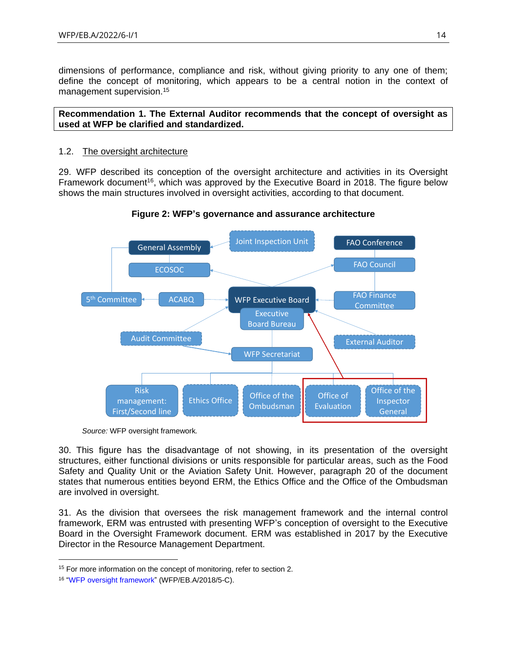dimensions of performance, compliance and risk, without giving priority to any one of them; define the concept of monitoring, which appears to be a central notion in the context of management supervision. 15

#### **Recommendation 1. The External Auditor recommends that the concept of oversight as used at WFP be clarified and standardized.**

#### <span id="page-13-0"></span>1.2. The oversight architecture

29. WFP described its conception of the oversight architecture and activities in its Oversight Framework document<sup>16</sup>, which was approved by the Executive Board in 2018. The figure below shows the main structures involved in oversight activities, according to that document.



**Figure 2: WFP's governance and assurance architecture**

30. This figure has the disadvantage of not showing, in its presentation of the oversight structures, either functional divisions or units responsible for particular areas, such as the Food Safety and Quality Unit or the Aviation Safety Unit. However, paragraph 20 of the document states that numerous entities beyond ERM, the Ethics Office and the Office of the Ombudsman are involved in oversight.

31. As the division that oversees the risk management framework and the internal control framework, ERM was entrusted with presenting WFP's conception of oversight to the Executive Board in the Oversight Framework document. ERM was established in 2017 by the Executive Director in the Resource Management Department.

*Source:* WFP oversight framework*.*

<sup>&</sup>lt;sup>15</sup> For more information on the concept of monitoring, refer to section 2.

<sup>16</sup> ["WFP oversight framework"](https://executiveboard.wfp.org/document_download/WFP-0000070382) (WFP/EB.A/2018/5-C).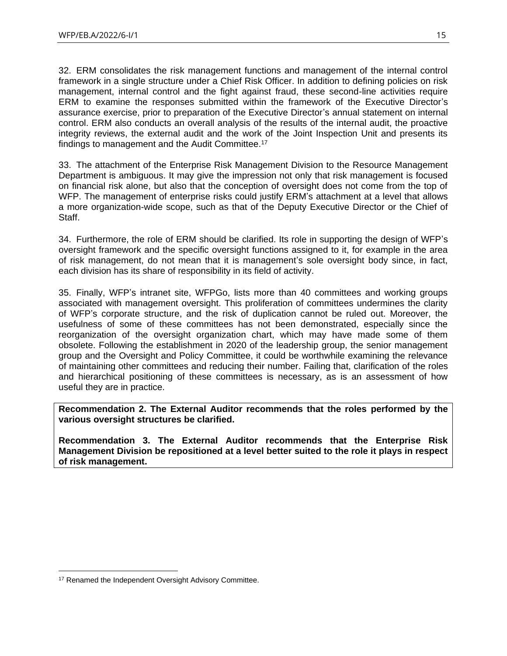32. ERM consolidates the risk management functions and management of the internal control framework in a single structure under a Chief Risk Officer. In addition to defining policies on risk management, internal control and the fight against fraud, these second-line activities require ERM to examine the responses submitted within the framework of the Executive Director's assurance exercise, prior to preparation of the Executive Director's annual statement on internal control. ERM also conducts an overall analysis of the results of the internal audit, the proactive integrity reviews, the external audit and the work of the Joint Inspection Unit and presents its findings to management and the Audit Committee.<sup>17</sup>

33. The attachment of the Enterprise Risk Management Division to the Resource Management Department is ambiguous. It may give the impression not only that risk management is focused on financial risk alone, but also that the conception of oversight does not come from the top of WFP. The management of enterprise risks could justify ERM's attachment at a level that allows a more organization-wide scope, such as that of the Deputy Executive Director or the Chief of Staff.

34. Furthermore, the role of ERM should be clarified. Its role in supporting the design of WFP's oversight framework and the specific oversight functions assigned to it, for example in the area of risk management, do not mean that it is management's sole oversight body since, in fact, each division has its share of responsibility in its field of activity.

35. Finally, WFP's intranet site, WFPGo, lists more than 40 committees and working groups associated with management oversight. This proliferation of committees undermines the clarity of WFP's corporate structure, and the risk of duplication cannot be ruled out. Moreover, the usefulness of some of these committees has not been demonstrated, especially since the reorganization of the oversight organization chart, which may have made some of them obsolete. Following the establishment in 2020 of the leadership group, the senior management group and the Oversight and Policy Committee, it could be worthwhile examining the relevance of maintaining other committees and reducing their number. Failing that, clarification of the roles and hierarchical positioning of these committees is necessary, as is an assessment of how useful they are in practice.

**Recommendation 2. The External Auditor recommends that the roles performed by the various oversight structures be clarified.**

**Recommendation 3. The External Auditor recommends that the Enterprise Risk Management Division be repositioned at a level better suited to the role it plays in respect of risk management.**

<sup>&</sup>lt;sup>17</sup> Renamed the Independent Oversight Advisory Committee.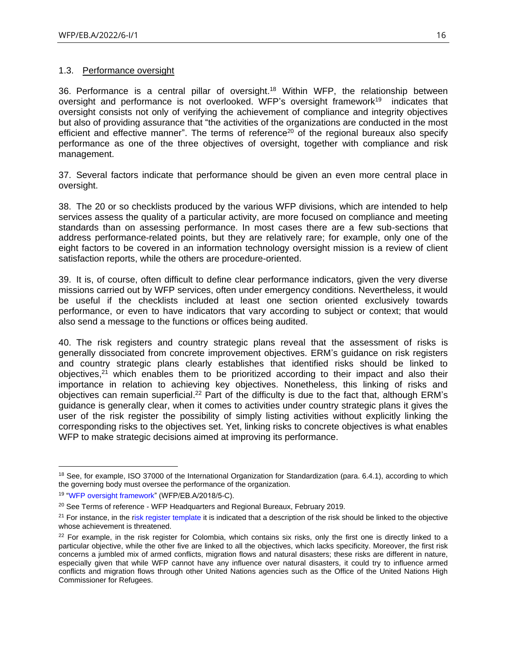#### <span id="page-15-0"></span>1.3. Performance oversight

36. Performance is a central pillar of oversight. <sup>18</sup> Within WFP, the relationship between oversight and performance is not overlooked. WFP's oversight framework<sup>19</sup> indicates that oversight consists not only of verifying the achievement of compliance and integrity objectives but also of providing assurance that "the activities of the organizations are conducted in the most efficient and effective manner". The terms of reference<sup>20</sup> of the regional bureaux also specify performance as one of the three objectives of oversight, together with compliance and risk management.

37. Several factors indicate that performance should be given an even more central place in oversight.

38. The 20 or so checklists produced by the various WFP divisions, which are intended to help services assess the quality of a particular activity, are more focused on compliance and meeting standards than on assessing performance. In most cases there are a few sub-sections that address performance-related points, but they are relatively rare; for example, only one of the eight factors to be covered in an information technology oversight mission is a review of client satisfaction reports, while the others are procedure-oriented.

39. It is, of course, often difficult to define clear performance indicators, given the very diverse missions carried out by WFP services, often under emergency conditions. Nevertheless, it would be useful if the checklists included at least one section oriented exclusively towards performance, or even to have indicators that vary according to subject or context; that would also send a message to the functions or offices being audited.

40. The risk registers and country strategic plans reveal that the assessment of risks is generally dissociated from concrete improvement objectives. ERM's guidance on risk registers and country strategic plans clearly establishes that identified risks should be linked to objectives,<sup>21</sup> which enables them to be prioritized according to their impact and also their importance in relation to achieving key objectives. Nonetheless, this linking of risks and objectives can remain superficial.<sup>22</sup> Part of the difficulty is due to the fact that, although ERM's guidance is generally clear, when it comes to activities under country strategic plans it gives the user of the risk register the possibility of simply listing activities without explicitly linking the corresponding risks to the objectives set. Yet, linking risks to concrete objectives is what enables WFP to make strategic decisions aimed at improving its performance.

<sup>&</sup>lt;sup>18</sup> See, for example, ISO 37000 of the International Organization for Standardization (para. 6.4.1), according to which the governing body must oversee the performance of the organization.

<sup>19</sup> ["WFP oversight framework"](https://executiveboard.wfp.org/document_download/WFP-0000070382) (WFP/EB.A/2018/5-C).

<sup>&</sup>lt;sup>20</sup> See Terms of reference - WFP Headquarters and Regional Bureaux, February 2019.

<sup>&</sup>lt;sup>21</sup> For instance, in the [risk register template](https://newgo.wfp.org/documents/risk-review-template) it is indicated that a description of the risk should be linked to the objective whose achievement is threatened.

<sup>&</sup>lt;sup>22</sup> For example, in the risk register for Colombia, which contains six risks, only the first one is directly linked to a particular objective, while the other five are linked to all the objectives, which lacks specificity. Moreover, the first risk concerns a jumbled mix of armed conflicts, migration flows and natural disasters; these risks are different in nature, especially given that while WFP cannot have any influence over natural disasters, it could try to influence armed conflicts and migration flows through other United Nations agencies such as the Office of the United Nations High Commissioner for Refugees.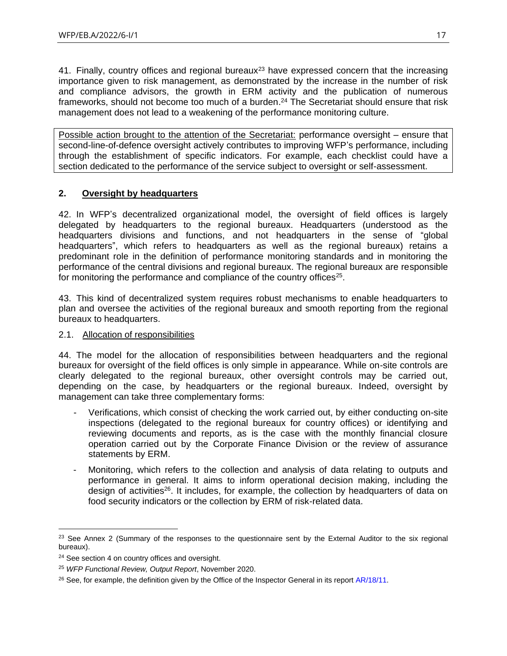41. Finally, country offices and regional bureaux<sup>23</sup> have expressed concern that the increasing importance given to risk management, as demonstrated by the increase in the number of risk and compliance advisors, the growth in ERM activity and the publication of numerous frameworks, should not become too much of a burden. <sup>24</sup> The Secretariat should ensure that risk management does not lead to a weakening of the performance monitoring culture.

Possible action brought to the attention of the Secretariat: performance oversight – ensure that second-line-of-defence oversight actively contributes to improving WFP's performance, including through the establishment of specific indicators. For example, each checklist could have a section dedicated to the performance of the service subject to oversight or self-assessment.

## <span id="page-16-0"></span>**2. Oversight by headquarters**

42. In WFP's decentralized organizational model, the oversight of field offices is largely delegated by headquarters to the regional bureaux. Headquarters (understood as the headquarters divisions and functions, and not headquarters in the sense of "global headquarters", which refers to headquarters as well as the regional bureaux) retains a predominant role in the definition of performance monitoring standards and in monitoring the performance of the central divisions and regional bureaux. The regional bureaux are responsible for monitoring the performance and compliance of the country offices<sup>25</sup>.

43. This kind of decentralized system requires robust mechanisms to enable headquarters to plan and oversee the activities of the regional bureaux and smooth reporting from the regional bureaux to headquarters.

## <span id="page-16-1"></span>2.1. Allocation of responsibilities

44. The model for the allocation of responsibilities between headquarters and the regional bureaux for oversight of the field offices is only simple in appearance. While on-site controls are clearly delegated to the regional bureaux, other oversight controls may be carried out, depending on the case, by headquarters or the regional bureaux. Indeed, oversight by management can take three complementary forms:

- Verifications, which consist of checking the work carried out, by either conducting on-site inspections (delegated to the regional bureaux for country offices) or identifying and reviewing documents and reports, as is the case with the monthly financial closure operation carried out by the Corporate Finance Division or the review of assurance statements by ERM.
- Monitoring, which refers to the collection and analysis of data relating to outputs and performance in general. It aims to inform operational decision making, including the design of activities<sup>26</sup>. It includes, for example, the collection by headquarters of data on food security indicators or the collection by ERM of risk-related data.

<sup>&</sup>lt;sup>23</sup> See Annex 2 (Summary of the responses to the questionnaire sent by the External Auditor to the six regional bureaux).

<sup>&</sup>lt;sup>24</sup> See section 4 on country offices and oversight.

<sup>25</sup> *WFP Functional Review, Output Report*, November 2020.

 $^{26}$  See, for example, the definition given by the Office of the Inspector General in its report  $AR/18/11$ .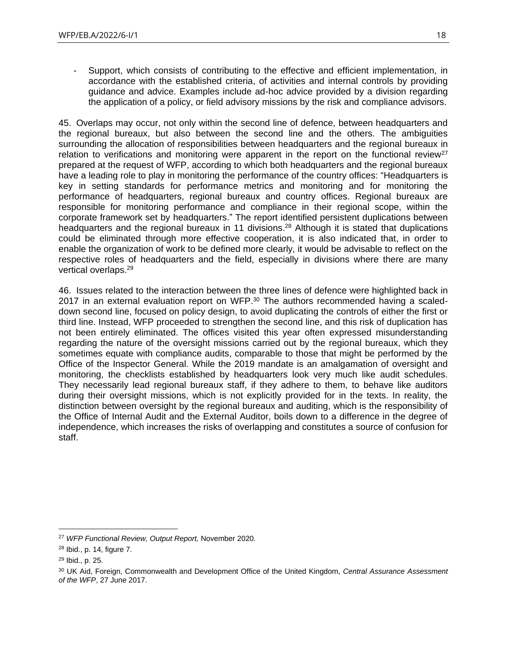- Support, which consists of contributing to the effective and efficient implementation, in accordance with the established criteria, of activities and internal controls by providing guidance and advice. Examples include ad-hoc advice provided by a division regarding the application of a policy, or field advisory missions by the risk and compliance advisors.

45. Overlaps may occur, not only within the second line of defence, between headquarters and the regional bureaux, but also between the second line and the others. The ambiguities surrounding the allocation of responsibilities between headquarters and the regional bureaux in relation to verifications and monitoring were apparent in the report on the functional review<sup>27</sup> prepared at the request of WFP, according to which both headquarters and the regional bureaux have a leading role to play in monitoring the performance of the country offices: "Headquarters is key in setting standards for performance metrics and monitoring and for monitoring the performance of headquarters, regional bureaux and country offices. Regional bureaux are responsible for monitoring performance and compliance in their regional scope, within the corporate framework set by headquarters." The report identified persistent duplications between headquarters and the regional bureaux in 11 divisions.<sup>28</sup> Although it is stated that duplications could be eliminated through more effective cooperation, it is also indicated that, in order to enable the organization of work to be defined more clearly, it would be advisable to reflect on the respective roles of headquarters and the field, especially in divisions where there are many vertical overlaps. 29

46. Issues related to the interaction between the three lines of defence were highlighted back in 2017 in an external evaluation report on WFP.<sup>30</sup> The authors recommended having a scaleddown second line, focused on policy design, to avoid duplicating the controls of either the first or third line. Instead, WFP proceeded to strengthen the second line, and this risk of duplication has not been entirely eliminated. The offices visited this year often expressed misunderstanding regarding the nature of the oversight missions carried out by the regional bureaux, which they sometimes equate with compliance audits, comparable to those that might be performed by the Office of the Inspector General. While the 2019 mandate is an amalgamation of oversight and monitoring, the checklists established by headquarters look very much like audit schedules. They necessarily lead regional bureaux staff, if they adhere to them, to behave like auditors during their oversight missions, which is not explicitly provided for in the texts. In reality, the distinction between oversight by the regional bureaux and auditing, which is the responsibility of the Office of Internal Audit and the External Auditor, boils down to a difference in the degree of independence, which increases the risks of overlapping and constitutes a source of confusion for staff.

<sup>27</sup> *WFP Functional Review, Output Report,* November 2020*.*

<sup>28</sup> Ibid., p. 14, figure 7.

<sup>29</sup> Ibid., p. 25.

<sup>30</sup> UK Aid, Foreign, Commonwealth and Development Office of the United Kingdom, *Central Assurance Assessment of the WFP*, 27 June 2017.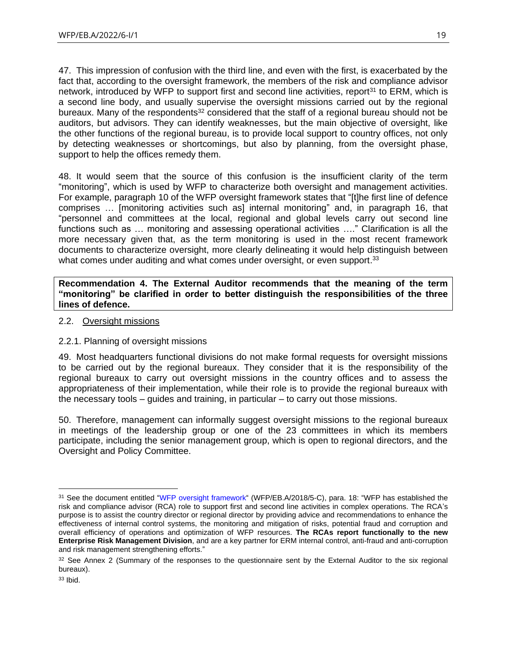47. This impression of confusion with the third line, and even with the first, is exacerbated by the fact that, according to the oversight framework, the members of the risk and compliance advisor network, introduced by WFP to support first and second line activities, report<sup>31</sup> to ERM, which is a second line body, and usually supervise the oversight missions carried out by the regional bureaux. Many of the respondents<sup>32</sup> considered that the staff of a regional bureau should not be auditors, but advisors. They can identify weaknesses, but the main objective of oversight, like the other functions of the regional bureau, is to provide local support to country offices, not only by detecting weaknesses or shortcomings, but also by planning, from the oversight phase, support to help the offices remedy them.

48. It would seem that the source of this confusion is the insufficient clarity of the term "monitoring", which is used by WFP to characterize both oversight and management activities. For example, paragraph 10 of the WFP oversight framework states that "[t]he first line of defence comprises … [monitoring activities such as] internal monitoring" and, in paragraph 16, that "personnel and committees at the local, regional and global levels carry out second line functions such as … monitoring and assessing operational activities …." Clarification is all the more necessary given that, as the term monitoring is used in the most recent framework documents to characterize oversight, more clearly delineating it would help distinguish between what comes under auditing and what comes under oversight, or even support.<sup>33</sup>

**Recommendation 4. The External Auditor recommends that the meaning of the term "monitoring" be clarified in order to better distinguish the responsibilities of the three lines of defence.**

<span id="page-18-0"></span>2.2. Oversight missions

## 2.2.1. Planning of oversight missions

49. Most headquarters functional divisions do not make formal requests for oversight missions to be carried out by the regional bureaux. They consider that it is the responsibility of the regional bureaux to carry out oversight missions in the country offices and to assess the appropriateness of their implementation, while their role is to provide the regional bureaux with the necessary tools – guides and training, in particular – to carry out those missions.

50. Therefore, management can informally suggest oversight missions to the regional bureaux in meetings of the leadership group or one of the 23 committees in which its members participate, including the senior management group, which is open to regional directors, and the Oversight and Policy Committee.

<sup>&</sup>lt;sup>31</sup> See the document entitled ["WFP oversight framework"](https://executiveboard.wfp.org/document_download/WFP-0000070382) (WFP/EB.A/2018/5-C), para. 18: "WFP has established the risk and compliance advisor (RCA) role to support first and second line activities in complex operations. The RCA's purpose is to assist the country director or regional director by providing advice and recommendations to enhance the effectiveness of internal control systems, the monitoring and mitigation of risks, potential fraud and corruption and overall efficiency of operations and optimization of WFP resources. **The RCAs report functionally to the new Enterprise Risk Management Division**, and are a key partner for ERM internal control, anti-fraud and anti-corruption and risk management strengthening efforts."

<sup>32</sup> See Annex 2 (Summary of the responses to the questionnaire sent by the External Auditor to the six regional bureaux).

 $33$  Ibid.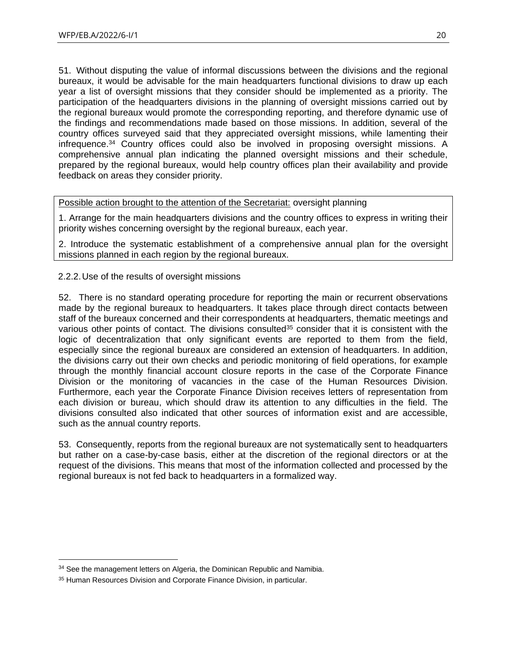51. Without disputing the value of informal discussions between the divisions and the regional bureaux, it would be advisable for the main headquarters functional divisions to draw up each year a list of oversight missions that they consider should be implemented as a priority. The participation of the headquarters divisions in the planning of oversight missions carried out by the regional bureaux would promote the corresponding reporting, and therefore dynamic use of the findings and recommendations made based on those missions. In addition, several of the country offices surveyed said that they appreciated oversight missions, while lamenting their infrequence. <sup>34</sup> Country offices could also be involved in proposing oversight missions. A comprehensive annual plan indicating the planned oversight missions and their schedule, prepared by the regional bureaux, would help country offices plan their availability and provide feedback on areas they consider priority.

Possible action brought to the attention of the Secretariat: oversight planning

1. Arrange for the main headquarters divisions and the country offices to express in writing their priority wishes concerning oversight by the regional bureaux, each year.

2. Introduce the systematic establishment of a comprehensive annual plan for the oversight missions planned in each region by the regional bureaux.

2.2.2.Use of the results of oversight missions

52. There is no standard operating procedure for reporting the main or recurrent observations made by the regional bureaux to headquarters. It takes place through direct contacts between staff of the bureaux concerned and their correspondents at headquarters, thematic meetings and various other points of contact. The divisions consulted<sup>35</sup> consider that it is consistent with the logic of decentralization that only significant events are reported to them from the field, especially since the regional bureaux are considered an extension of headquarters. In addition, the divisions carry out their own checks and periodic monitoring of field operations, for example through the monthly financial account closure reports in the case of the Corporate Finance Division or the monitoring of vacancies in the case of the Human Resources Division. Furthermore, each year the Corporate Finance Division receives letters of representation from each division or bureau, which should draw its attention to any difficulties in the field. The divisions consulted also indicated that other sources of information exist and are accessible, such as the annual country reports.

53. Consequently, reports from the regional bureaux are not systematically sent to headquarters but rather on a case-by-case basis, either at the discretion of the regional directors or at the request of the divisions. This means that most of the information collected and processed by the regional bureaux is not fed back to headquarters in a formalized way.

<sup>&</sup>lt;sup>34</sup> See the management letters on Algeria, the Dominican Republic and Namibia.

<sup>&</sup>lt;sup>35</sup> Human Resources Division and Corporate Finance Division, in particular.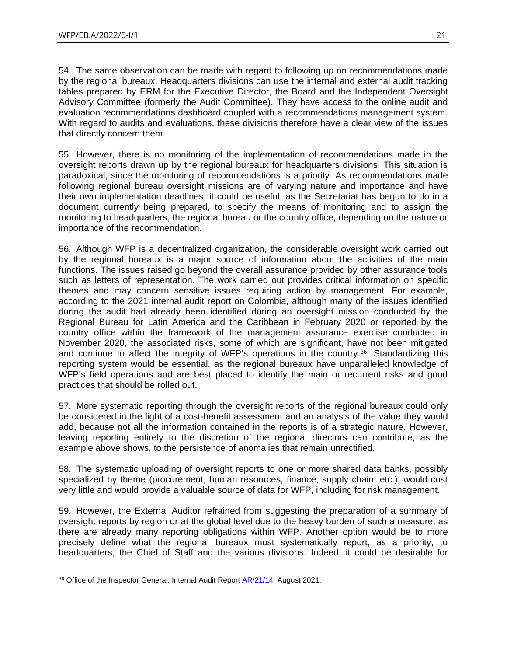54. The same observation can be made with regard to following up on recommendations made by the regional bureaux. Headquarters divisions can use the internal and external audit tracking tables prepared by ERM for the Executive Director, the Board and the Independent Oversight Advisory Committee (formerly the Audit Committee). They have access to the online audit and evaluation recommendations dashboard coupled with a recommendations management system. With regard to audits and evaluations, these divisions therefore have a clear view of the issues that directly concern them.

55. However, there is no monitoring of the implementation of recommendations made in the oversight reports drawn up by the regional bureaux for headquarters divisions. This situation is paradoxical, since the monitoring of recommendations is a priority. As recommendations made following regional bureau oversight missions are of varying nature and importance and have their own implementation deadlines, it could be useful, as the Secretariat has begun to do in a document currently being prepared, to specify the means of monitoring and to assign the monitoring to headquarters, the regional bureau or the country office, depending on the nature or importance of the recommendation.

56. Although WFP is a decentralized organization, the considerable oversight work carried out by the regional bureaux is a major source of information about the activities of the main functions. The issues raised go beyond the overall assurance provided by other assurance tools such as letters of representation. The work carried out provides critical information on specific themes and may concern sensitive issues requiring action by management. For example, according to the 2021 internal audit report on Colombia, although many of the issues identified during the audit had already been identified during an oversight mission conducted by the Regional Bureau for Latin America and the Caribbean in February 2020 or reported by the country office within the framework of the management assurance exercise conducted in November 2020, the associated risks, some of which are significant, have not been mitigated and continue to affect the integrity of WFP's operations in the country.<sup>36</sup>. Standardizing this reporting system would be essential, as the regional bureaux have unparalleled knowledge of WFP's field operations and are best placed to identify the main or recurrent risks and good practices that should be rolled out.

57. More systematic reporting through the oversight reports of the regional bureaux could only be considered in the light of a cost-benefit assessment and an analysis of the value they would add, because not all the information contained in the reports is of a strategic nature. However, leaving reporting entirely to the discretion of the regional directors can contribute, as the example above shows, to the persistence of anomalies that remain unrectified.

58. The systematic uploading of oversight reports to one or more shared data banks, possibly specialized by theme (procurement, human resources, finance, supply chain, etc.), would cost very little and would provide a valuable source of data for WFP, including for risk management.

59. However, the External Auditor refrained from suggesting the preparation of a summary of oversight reports by region or at the global level due to the heavy burden of such a measure, as there are already many reporting obligations within WFP. Another option would be to more precisely define what the regional bureaux must systematically report, as a priority, to headquarters, the Chief of Staff and the various divisions. Indeed, it could be desirable for

<sup>36</sup> Office of the Inspector General, Internal Audit Report [AR/21/14](https://www.wfp.org/audit-reports/internal-audit-wfp-operations-colombia-august-2021)*,* August 2021.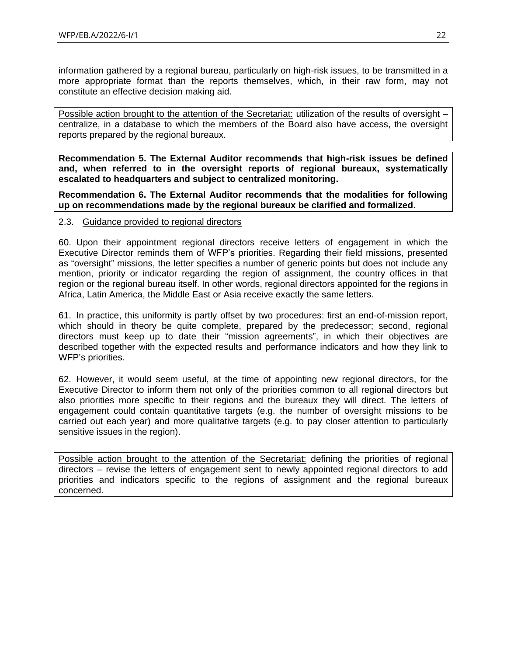information gathered by a regional bureau, particularly on high-risk issues, to be transmitted in a more appropriate format than the reports themselves, which, in their raw form, may not constitute an effective decision making aid.

Possible action brought to the attention of the Secretariat: utilization of the results of oversight centralize, in a database to which the members of the Board also have access, the oversight reports prepared by the regional bureaux.

**Recommendation 5. The External Auditor recommends that high-risk issues be defined and, when referred to in the oversight reports of regional bureaux, systematically escalated to headquarters and subject to centralized monitoring.**

**Recommendation 6. The External Auditor recommends that the modalities for following up on recommendations made by the regional bureaux be clarified and formalized.**

#### <span id="page-21-0"></span>2.3. Guidance provided to regional directors

60. Upon their appointment regional directors receive letters of engagement in which the Executive Director reminds them of WFP's priorities. Regarding their field missions, presented as "oversight" missions, the letter specifies a number of generic points but does not include any mention, priority or indicator regarding the region of assignment, the country offices in that region or the regional bureau itself. In other words, regional directors appointed for the regions in Africa, Latin America, the Middle East or Asia receive exactly the same letters.

61. In practice, this uniformity is partly offset by two procedures: first an end-of-mission report, which should in theory be quite complete, prepared by the predecessor; second, regional directors must keep up to date their "mission agreements", in which their objectives are described together with the expected results and performance indicators and how they link to WFP's priorities.

62. However, it would seem useful, at the time of appointing new regional directors, for the Executive Director to inform them not only of the priorities common to all regional directors but also priorities more specific to their regions and the bureaux they will direct. The letters of engagement could contain quantitative targets (e.g. the number of oversight missions to be carried out each year) and more qualitative targets (e.g. to pay closer attention to particularly sensitive issues in the region).

Possible action brought to the attention of the Secretariat: defining the priorities of regional directors – revise the letters of engagement sent to newly appointed regional directors to add priorities and indicators specific to the regions of assignment and the regional bureaux concerned.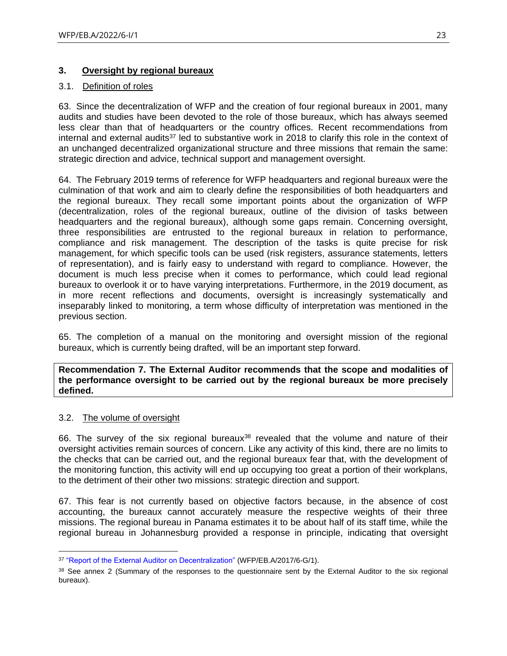## <span id="page-22-0"></span>**3. Oversight by regional bureaux**

## <span id="page-22-1"></span>3.1. Definition of roles

63. Since the decentralization of WFP and the creation of four regional bureaux in 2001, many audits and studies have been devoted to the role of those bureaux, which has always seemed less clear than that of headquarters or the country offices. Recent recommendations from internal and external audits<sup>37</sup> led to substantive work in 2018 to clarify this role in the context of an unchanged decentralized organizational structure and three missions that remain the same: strategic direction and advice, technical support and management oversight.

64. The February 2019 terms of reference for WFP headquarters and regional bureaux were the culmination of that work and aim to clearly define the responsibilities of both headquarters and the regional bureaux. They recall some important points about the organization of WFP (decentralization, roles of the regional bureaux, outline of the division of tasks between headquarters and the regional bureaux), although some gaps remain. Concerning oversight, three responsibilities are entrusted to the regional bureaux in relation to performance, compliance and risk management. The description of the tasks is quite precise for risk management, for which specific tools can be used (risk registers, assurance statements, letters of representation), and is fairly easy to understand with regard to compliance. However, the document is much less precise when it comes to performance, which could lead regional bureaux to overlook it or to have varying interpretations. Furthermore, in the 2019 document, as in more recent reflections and documents, oversight is increasingly systematically and inseparably linked to monitoring, a term whose difficulty of interpretation was mentioned in the previous section.

65. The completion of a manual on the monitoring and oversight mission of the regional bureaux, which is currently being drafted, will be an important step forward.

**Recommendation 7. The External Auditor recommends that the scope and modalities of the performance oversight to be carried out by the regional bureaux be more precisely defined.**

## <span id="page-22-2"></span>3.2. The volume of oversight

66. The survey of the six regional bureaux<sup>38</sup> revealed that the volume and nature of their oversight activities remain sources of concern. Like any activity of this kind, there are no limits to the checks that can be carried out, and the regional bureaux fear that, with the development of the monitoring function, this activity will end up occupying too great a portion of their workplans, to the detriment of their other two missions: strategic direction and support.

67. This fear is not currently based on objective factors because, in the absence of cost accounting, the bureaux cannot accurately measure the respective weights of their three missions. The regional bureau in Panama estimates it to be about half of its staff time, while the regional bureau in Johannesburg provided a response in principle, indicating that oversight

<sup>37</sup> ["Report of the External Auditor on Decentralization"](https://executiveboard.wfp.org/document_download/WFP-0000037603) (WFP/EB.A/2017/6-G/1).

<sup>&</sup>lt;sup>38</sup> See annex 2 (Summary of the responses to the questionnaire sent by the External Auditor to the six regional bureaux).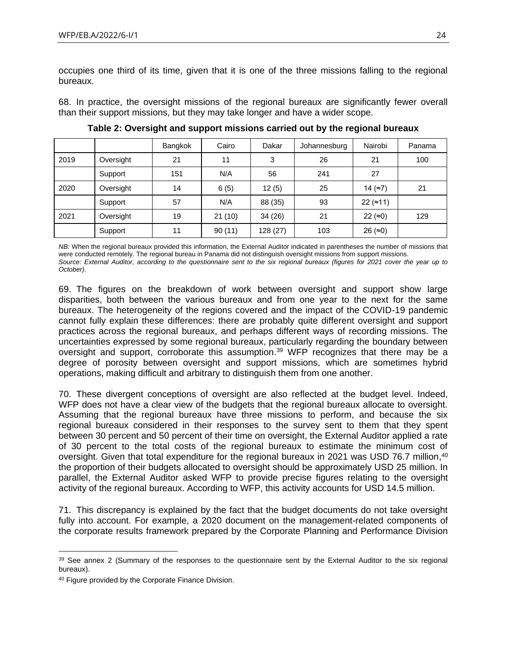occupies one third of its time, given that it is one of the three missions falling to the regional bureaux.

68. In practice, the oversight missions of the regional bureaux are significantly fewer overall than their support missions, but they may take longer and have a wider scope.

|      |           | Bangkok | Cairo  | Dakar    | Johannesburg | Nairobi              | Panama |
|------|-----------|---------|--------|----------|--------------|----------------------|--------|
| 2019 | Oversight | 21      | 11     | 3        | 26           | 21                   | 100    |
|      | Support   | 151     | N/A    | 56       | 241          | 27                   |        |
| 2020 | Oversight | 14      | 6(5)   | 12(5)    | 25           | 14 $(\approx 7)$     | 21     |
|      | Support   | 57      | N/A    | 88 (35)  | 93           | 22 $($ $\approx$ 11) |        |
| 2021 | Oversight | 19      | 21(10) | 34 (26)  | 21           | 22 (≈0)              | 129    |
|      | Support   | 11      | 90(11) | 128 (27) | 103          | 26 ( $\approx$ 0)    |        |

**Table 2: Oversight and support missions carried out by the regional bureaux**

*NB:* When the regional bureaux provided this information, the External Auditor indicated in parentheses the number of missions that were conducted remotely. The regional bureau in Panama did not distinguish oversight missions from support missions. *Source: External Auditor, according to the questionnaire sent to the six regional bureaux (figures for 2021 cover the year up to October).*

69. The figures on the breakdown of work between oversight and support show large disparities, both between the various bureaux and from one year to the next for the same bureaux. The heterogeneity of the regions covered and the impact of the COVID-19 pandemic cannot fully explain these differences: there are probably quite different oversight and support practices across the regional bureaux, and perhaps different ways of recording missions. The uncertainties expressed by some regional bureaux, particularly regarding the boundary between oversight and support, corroborate this assumption. <sup>39</sup> WFP recognizes that there may be a degree of porosity between oversight and support missions, which are sometimes hybrid operations, making difficult and arbitrary to distinguish them from one another.

70. These divergent conceptions of oversight are also reflected at the budget level. Indeed, WFP does not have a clear view of the budgets that the regional bureaux allocate to oversight. Assuming that the regional bureaux have three missions to perform, and because the six regional bureaux considered in their responses to the survey sent to them that they spent between 30 percent and 50 percent of their time on oversight, the External Auditor applied a rate of 30 percent to the total costs of the regional bureaux to estimate the minimum cost of oversight. Given that total expenditure for the regional bureaux in 2021 was USD 76.7 million, <sup>40</sup> the proportion of their budgets allocated to oversight should be approximately USD 25 million. In parallel, the External Auditor asked WFP to provide precise figures relating to the oversight activity of the regional bureaux. According to WFP, this activity accounts for USD 14.5 million.

71. This discrepancy is explained by the fact that the budget documents do not take oversight fully into account. For example, a 2020 document on the management-related components of the corporate results framework prepared by the Corporate Planning and Performance Division

<sup>&</sup>lt;sup>39</sup> See annex 2 (Summary of the responses to the questionnaire sent by the External Auditor to the six regional bureaux).

<sup>&</sup>lt;sup>40</sup> Figure provided by the Corporate Finance Division.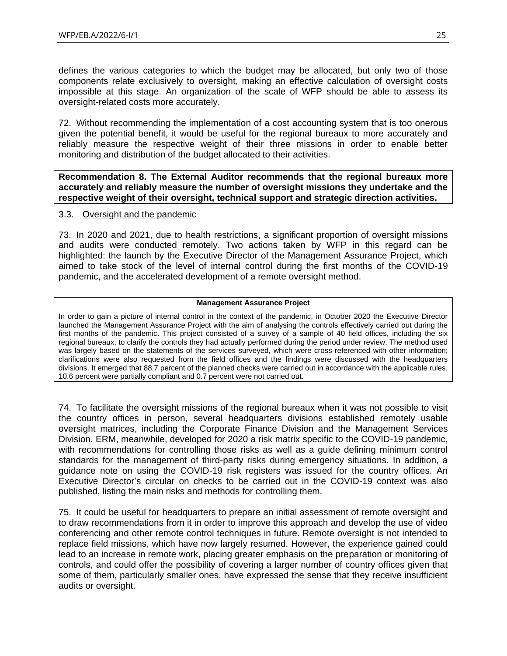defines the various categories to which the budget may be allocated, but only two of those components relate exclusively to oversight, making an effective calculation of oversight costs impossible at this stage. An organization of the scale of WFP should be able to assess its oversight-related costs more accurately.

72. Without recommending the implementation of a cost accounting system that is too onerous given the potential benefit, it would be useful for the regional bureaux to more accurately and reliably measure the respective weight of their three missions in order to enable better monitoring and distribution of the budget allocated to their activities.

**Recommendation 8. The External Auditor recommends that the regional bureaux more accurately and reliably measure the number of oversight missions they undertake and the respective weight of their oversight, technical support and strategic direction activities.**

#### <span id="page-24-0"></span>3.3. Oversight and the pandemic

73. In 2020 and 2021, due to health restrictions, a significant proportion of oversight missions and audits were conducted remotely. Two actions taken by WFP in this regard can be highlighted: the launch by the Executive Director of the Management Assurance Project, which aimed to take stock of the level of internal control during the first months of the COVID-19 pandemic, and the accelerated development of a remote oversight method.

#### **Management Assurance Project**

In order to gain a picture of internal control in the context of the pandemic, in October 2020 the Executive Director launched the Management Assurance Project with the aim of analysing the controls effectively carried out during the first months of the pandemic. This project consisted of a survey of a sample of 40 field offices, including the six regional bureaux, to clarify the controls they had actually performed during the period under review. The method used was largely based on the statements of the services surveyed, which were cross-referenced with other information; clarifications were also requested from the field offices and the findings were discussed with the headquarters divisions. It emerged that 88.7 percent of the planned checks were carried out in accordance with the applicable rules, 10.6 percent were partially compliant and 0.7 percent were not carried out.

74. To facilitate the oversight missions of the regional bureaux when it was not possible to visit the country offices in person, several headquarters divisions established remotely usable oversight matrices, including the Corporate Finance Division and the Management Services Division. ERM, meanwhile, developed for 2020 a risk matrix specific to the COVID-19 pandemic, with recommendations for controlling those risks as well as a guide defining minimum control standards for the management of third-party risks during emergency situations. In addition, a guidance note on using the COVID-19 risk registers was issued for the country offices. An Executive Director's circular on checks to be carried out in the COVID-19 context was also published, listing the main risks and methods for controlling them.

75. It could be useful for headquarters to prepare an initial assessment of remote oversight and to draw recommendations from it in order to improve this approach and develop the use of video conferencing and other remote control techniques in future. Remote oversight is not intended to replace field missions, which have now largely resumed. However, the experience gained could lead to an increase in remote work, placing greater emphasis on the preparation or monitoring of controls, and could offer the possibility of covering a larger number of country offices given that some of them, particularly smaller ones, have expressed the sense that they receive insufficient audits or oversight.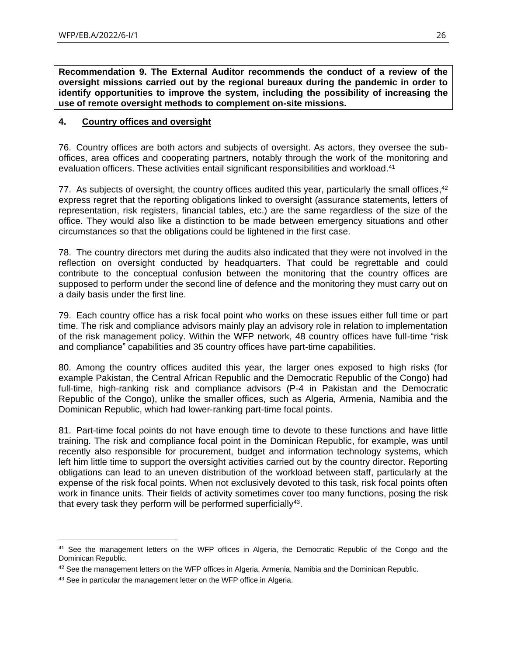**Recommendation 9. The External Auditor recommends the conduct of a review of the oversight missions carried out by the regional bureaux during the pandemic in order to identify opportunities to improve the system, including the possibility of increasing the use of remote oversight methods to complement on-site missions.**

#### <span id="page-25-0"></span>**4. Country offices and oversight**

76. Country offices are both actors and subjects of oversight. As actors, they oversee the suboffices, area offices and cooperating partners, notably through the work of the monitoring and evaluation officers. These activities entail significant responsibilities and workload.<sup>41</sup>

77. As subjects of oversight, the country offices audited this year, particularly the small offices,<sup>42</sup> express regret that the reporting obligations linked to oversight (assurance statements, letters of representation, risk registers, financial tables, etc.) are the same regardless of the size of the office. They would also like a distinction to be made between emergency situations and other circumstances so that the obligations could be lightened in the first case.

78. The country directors met during the audits also indicated that they were not involved in the reflection on oversight conducted by headquarters. That could be regrettable and could contribute to the conceptual confusion between the monitoring that the country offices are supposed to perform under the second line of defence and the monitoring they must carry out on a daily basis under the first line.

79. Each country office has a risk focal point who works on these issues either full time or part time. The risk and compliance advisors mainly play an advisory role in relation to implementation of the risk management policy. Within the WFP network, 48 country offices have full-time "risk and compliance" capabilities and 35 country offices have part-time capabilities.

80. Among the country offices audited this year, the larger ones exposed to high risks (for example Pakistan, the Central African Republic and the Democratic Republic of the Congo) had full-time, high-ranking risk and compliance advisors (P-4 in Pakistan and the Democratic Republic of the Congo), unlike the smaller offices, such as Algeria, Armenia, Namibia and the Dominican Republic, which had lower-ranking part-time focal points.

81. Part-time focal points do not have enough time to devote to these functions and have little training. The risk and compliance focal point in the Dominican Republic, for example, was until recently also responsible for procurement, budget and information technology systems, which left him little time to support the oversight activities carried out by the country director. Reporting obligations can lead to an uneven distribution of the workload between staff, particularly at the expense of the risk focal points. When not exclusively devoted to this task, risk focal points often work in finance units. Their fields of activity sometimes cover too many functions, posing the risk that every task they perform will be performed superficially<sup>43</sup>.

<sup>&</sup>lt;sup>41</sup> See the management letters on the WFP offices in Algeria, the Democratic Republic of the Congo and the Dominican Republic.

 $42$  See the management letters on the WFP offices in Algeria, Armenia, Namibia and the Dominican Republic.

<sup>43</sup> See in particular the management letter on the WFP office in Algeria.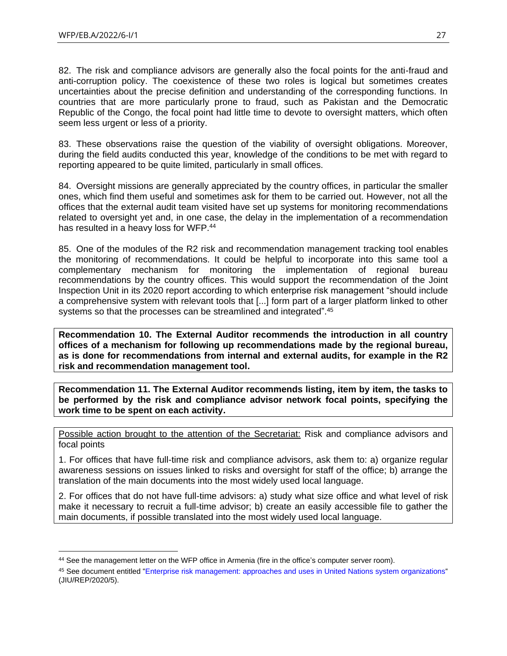82. The risk and compliance advisors are generally also the focal points for the anti-fraud and anti-corruption policy. The coexistence of these two roles is logical but sometimes creates uncertainties about the precise definition and understanding of the corresponding functions. In countries that are more particularly prone to fraud, such as Pakistan and the Democratic Republic of the Congo, the focal point had little time to devote to oversight matters, which often seem less urgent or less of a priority.

83. These observations raise the question of the viability of oversight obligations. Moreover, during the field audits conducted this year, knowledge of the conditions to be met with regard to reporting appeared to be quite limited, particularly in small offices.

84. Oversight missions are generally appreciated by the country offices, in particular the smaller ones, which find them useful and sometimes ask for them to be carried out. However, not all the offices that the external audit team visited have set up systems for monitoring recommendations related to oversight yet and, in one case, the delay in the implementation of a recommendation has resulted in a heavy loss for WFP.<sup>44</sup>

85. One of the modules of the R2 risk and recommendation management tracking tool enables the monitoring of recommendations. It could be helpful to incorporate into this same tool a complementary mechanism for monitoring the implementation of regional bureau recommendations by the country offices. This would support the recommendation of the Joint Inspection Unit in its 2020 report according to which enterprise risk management "should include a comprehensive system with relevant tools that [...] form part of a larger platform linked to other systems so that the processes can be streamlined and integrated".<sup>45</sup>

**Recommendation 10. The External Auditor recommends the introduction in all country offices of a mechanism for following up recommendations made by the regional bureau, as is done for recommendations from internal and external audits, for example in the R2 risk and recommendation management tool.**

**Recommendation 11. The External Auditor recommends listing, item by item, the tasks to be performed by the risk and compliance advisor network focal points, specifying the work time to be spent on each activity.**

Possible action brought to the attention of the Secretariat: Risk and compliance advisors and focal points

1. For offices that have full-time risk and compliance advisors, ask them to: a) organize regular awareness sessions on issues linked to risks and oversight for staff of the office; b) arrange the translation of the main documents into the most widely used local language.

2. For offices that do not have full-time advisors: a) study what size office and what level of risk make it necessary to recruit a full-time advisor; b) create an easily accessible file to gather the main documents, if possible translated into the most widely used local language.

<sup>44</sup> See the management letter on the WFP office in Armenia (fire in the office's computer server room).

<sup>45</sup> See document entitled ["Enterprise risk management: approaches and uses in United Nations system organizations"](https://www.unjiu.org/sites/www.unjiu.org/files/jiu_rep_2020_5_english.pdf) (JIU/REP/2020/5).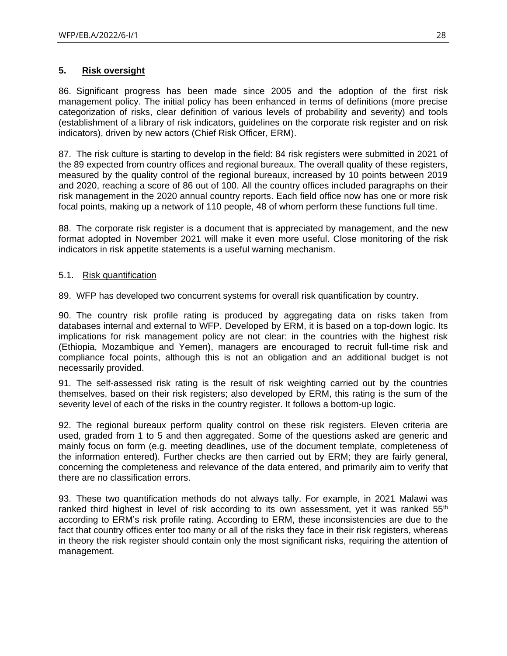## <span id="page-27-0"></span>**5. Risk oversight**

86. Significant progress has been made since 2005 and the adoption of the first risk management policy. The initial policy has been enhanced in terms of definitions (more precise categorization of risks, clear definition of various levels of probability and severity) and tools (establishment of a library of risk indicators, guidelines on the corporate risk register and on risk indicators), driven by new actors (Chief Risk Officer, ERM).

87. The risk culture is starting to develop in the field: 84 risk registers were submitted in 2021 of the 89 expected from country offices and regional bureaux. The overall quality of these registers, measured by the quality control of the regional bureaux, increased by 10 points between 2019 and 2020, reaching a score of 86 out of 100. All the country offices included paragraphs on their risk management in the 2020 annual country reports. Each field office now has one or more risk focal points, making up a network of 110 people, 48 of whom perform these functions full time.

88. The corporate risk register is a document that is appreciated by management, and the new format adopted in November 2021 will make it even more useful. Close monitoring of the risk indicators in risk appetite statements is a useful warning mechanism.

#### <span id="page-27-1"></span>5.1. Risk quantification

89. WFP has developed two concurrent systems for overall risk quantification by country.

90. The country risk profile rating is produced by aggregating data on risks taken from databases internal and external to WFP. Developed by ERM, it is based on a top-down logic. Its implications for risk management policy are not clear: in the countries with the highest risk (Ethiopia, Mozambique and Yemen), managers are encouraged to recruit full-time risk and compliance focal points, although this is not an obligation and an additional budget is not necessarily provided.

91. The self-assessed risk rating is the result of risk weighting carried out by the countries themselves, based on their risk registers; also developed by ERM, this rating is the sum of the severity level of each of the risks in the country register. It follows a bottom-up logic.

92. The regional bureaux perform quality control on these risk registers. Eleven criteria are used, graded from 1 to 5 and then aggregated. Some of the questions asked are generic and mainly focus on form (e.g. meeting deadlines, use of the document template, completeness of the information entered). Further checks are then carried out by ERM; they are fairly general, concerning the completeness and relevance of the data entered, and primarily aim to verify that there are no classification errors.

93. These two quantification methods do not always tally. For example, in 2021 Malawi was ranked third highest in level of risk according to its own assessment, yet it was ranked  $55<sup>th</sup>$ according to ERM's risk profile rating. According to ERM, these inconsistencies are due to the fact that country offices enter too many or all of the risks they face in their risk registers, whereas in theory the risk register should contain only the most significant risks, requiring the attention of management.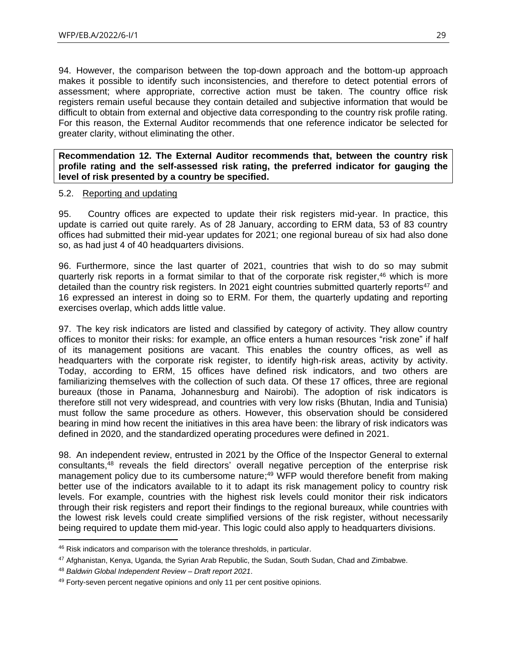94. However, the comparison between the top-down approach and the bottom-up approach makes it possible to identify such inconsistencies, and therefore to detect potential errors of assessment; where appropriate, corrective action must be taken. The country office risk registers remain useful because they contain detailed and subjective information that would be difficult to obtain from external and objective data corresponding to the country risk profile rating. For this reason, the External Auditor recommends that one reference indicator be selected for greater clarity, without eliminating the other.

**Recommendation 12. The External Auditor recommends that, between the country risk profile rating and the self-assessed risk rating, the preferred indicator for gauging the level of risk presented by a country be specified.**

#### <span id="page-28-0"></span>5.2. Reporting and updating

95. Country offices are expected to update their risk registers mid-year. In practice, this update is carried out quite rarely. As of 28 January, according to ERM data, 53 of 83 country offices had submitted their mid-year updates for 2021; one regional bureau of six had also done so, as had just 4 of 40 headquarters divisions.

96. Furthermore, since the last quarter of 2021, countries that wish to do so may submit quarterly risk reports in a format similar to that of the corporate risk register, <sup>46</sup> which is more detailed than the country risk registers. In 2021 eight countries submitted quarterly reports<sup>47</sup> and 16 expressed an interest in doing so to ERM. For them, the quarterly updating and reporting exercises overlap, which adds little value.

97. The key risk indicators are listed and classified by category of activity. They allow country offices to monitor their risks: for example, an office enters a human resources "risk zone" if half of its management positions are vacant. This enables the country offices, as well as headquarters with the corporate risk register, to identify high-risk areas, activity by activity. Today, according to ERM, 15 offices have defined risk indicators, and two others are familiarizing themselves with the collection of such data. Of these 17 offices, three are regional bureaux (those in Panama, Johannesburg and Nairobi). The adoption of risk indicators is therefore still not very widespread, and countries with very low risks (Bhutan, India and Tunisia) must follow the same procedure as others. However, this observation should be considered bearing in mind how recent the initiatives in this area have been: the library of risk indicators was defined in 2020, and the standardized operating procedures were defined in 2021.

98. An independent review, entrusted in 2021 by the Office of the Inspector General to external consultants, <sup>48</sup> reveals the field directors' overall negative perception of the enterprise risk management policy due to its cumbersome nature;<sup>49</sup> WFP would therefore benefit from making better use of the indicators available to it to adapt its risk management policy to country risk levels. For example, countries with the highest risk levels could monitor their risk indicators through their risk registers and report their findings to the regional bureaux, while countries with the lowest risk levels could create simplified versions of the risk register, without necessarily being required to update them mid-year. This logic could also apply to headquarters divisions.

<sup>&</sup>lt;sup>46</sup> Risk indicators and comparison with the tolerance thresholds, in particular.

<sup>47</sup> Afghanistan, Kenya, Uganda, the Syrian Arab Republic, the Sudan, South Sudan, Chad and Zimbabwe.

<sup>48</sup> *Baldwin Global Independent Review* – *Draft report 2021*.

<sup>49</sup> Forty-seven percent negative opinions and only 11 per cent positive opinions.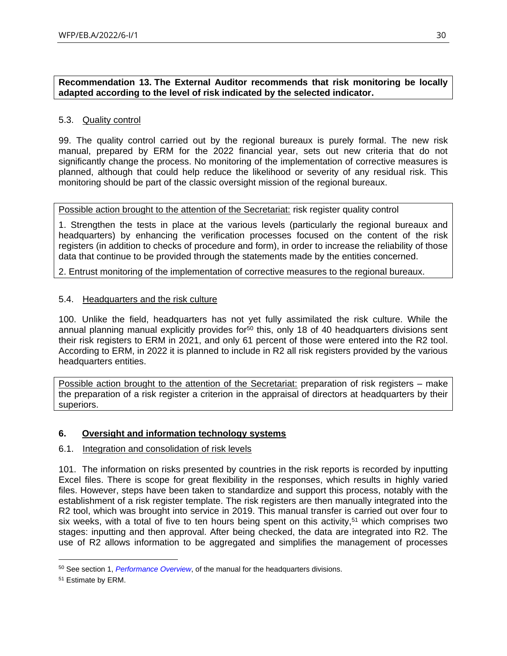**Recommendation 13. The External Auditor recommends that risk monitoring be locally adapted according to the level of risk indicated by the selected indicator.**

#### <span id="page-29-0"></span>5.3. Quality control

99. The quality control carried out by the regional bureaux is purely formal. The new risk manual, prepared by ERM for the 2022 financial year, sets out new criteria that do not significantly change the process. No monitoring of the implementation of corrective measures is planned, although that could help reduce the likelihood or severity of any residual risk. This monitoring should be part of the classic oversight mission of the regional bureaux.

#### Possible action brought to the attention of the Secretariat: risk register quality control

1. Strengthen the tests in place at the various levels (particularly the regional bureaux and headquarters) by enhancing the verification processes focused on the content of the risk registers (in addition to checks of procedure and form), in order to increase the reliability of those data that continue to be provided through the statements made by the entities concerned.

2. Entrust monitoring of the implementation of corrective measures to the regional bureaux.

#### <span id="page-29-1"></span>5.4. Headquarters and the risk culture

100. Unlike the field, headquarters has not yet fully assimilated the risk culture. While the annual planning manual explicitly provides for<sup>50</sup> this, only 18 of 40 headquarters divisions sent their risk registers to ERM in 2021, and only 61 percent of those were entered into the R2 tool. According to ERM, in 2022 it is planned to include in R2 all risk registers provided by the various headquarters entities.

Possible action brought to the attention of the Secretariat: preparation of risk registers – make the preparation of a risk register a criterion in the appraisal of directors at headquarters by their superiors.

## <span id="page-29-2"></span>**6. Oversight and information technology systems**

#### <span id="page-29-3"></span>6.1. Integration and consolidation of risk levels

101. The information on risks presented by countries in the risk reports is recorded by inputting Excel files. There is scope for great flexibility in the responses, which results in highly varied files. However, steps have been taken to standardize and support this process, notably with the establishment of a risk register template. The risk registers are then manually integrated into the R2 tool, which was brought into service in 2019. This manual transfer is carried out over four to six weeks, with a total of five to ten hours being spent on this activity,<sup>51</sup> which comprises two stages: inputting and then approval. After being checked, the data are integrated into R2. The use of R2 allows information to be aggregated and simplifies the management of processes

<sup>50</sup> See section 1, *[Performance Overview](https://planning.manuals.wfp.org/en/annual-planning-tools-for-hq-divisions-and-standalone-offices/instructions-for-the-2019-hq-app-template/section-i-performance-overview/)*, of the manual for the headquarters divisions.

<sup>51</sup> Estimate by ERM.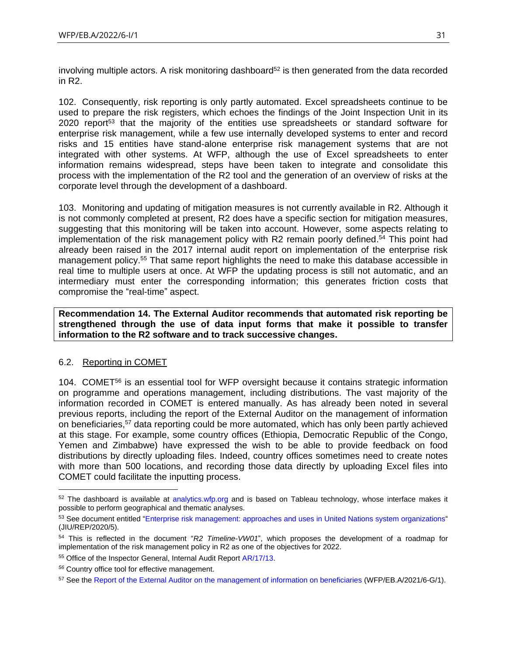involving multiple actors. A risk monitoring dashboard $52$  is then generated from the data recorded in R2.

102. Consequently, risk reporting is only partly automated. Excel spreadsheets continue to be used to prepare the risk registers, which echoes the findings of the Joint Inspection Unit in its 2020 report<sup>53</sup> that the majority of the entities use spreadsheets or standard software for enterprise risk management, while a few use internally developed systems to enter and record risks and 15 entities have stand-alone enterprise risk management systems that are not integrated with other systems. At WFP, although the use of Excel spreadsheets to enter information remains widespread, steps have been taken to integrate and consolidate this process with the implementation of the R2 tool and the generation of an overview of risks at the corporate level through the development of a dashboard.

103. Monitoring and updating of mitigation measures is not currently available in R2. Although it is not commonly completed at present, R2 does have a specific section for mitigation measures, suggesting that this monitoring will be taken into account. However, some aspects relating to implementation of the risk management policy with R2 remain poorly defined.<sup>54</sup> This point had already been raised in the 2017 internal audit report on implementation of the enterprise risk management policy.<sup>55</sup> That same report highlights the need to make this database accessible in real time to multiple users at once. At WFP the updating process is still not automatic, and an intermediary must enter the corresponding information; this generates friction costs that compromise the "real-time" aspect.

**Recommendation 14. The External Auditor recommends that automated risk reporting be strengthened through the use of data input forms that make it possible to transfer information to the R2 software and to track successive changes.**

## <span id="page-30-0"></span>6.2. Reporting in COMET

104. COMET<sup>56</sup> is an essential tool for WFP oversight because it contains strategic information on programme and operations management, including distributions. The vast majority of the information recorded in COMET is entered manually. As has already been noted in several previous reports, including the report of the External Auditor on the management of information on beneficiaries, <sup>57</sup> data reporting could be more automated, which has only been partly achieved at this stage. For example, some country offices (Ethiopia, Democratic Republic of the Congo, Yemen and Zimbabwe) have expressed the wish to be able to provide feedback on food distributions by directly uploading files. Indeed, country offices sometimes need to create notes with more than 500 locations, and recording those data directly by uploading Excel files into COMET could facilitate the inputting process.

 $52$  The dashboard is available at [analytics.wfp.org](https://analytics.wfp.org/#/views/TableauLandingPage/LandingPage?:iid=1) and is based on Tableau technology, whose interface makes it possible to perform geographical and thematic analyses.

<sup>53</sup> See document entitled ["Enterprise risk management: approaches and uses in United Nations system organizations"](https://www.unjiu.org/sites/www.unjiu.org/files/jiu_rep_2020_5_english.pdf) (JIU/REP/2020/5).

<sup>54</sup> This is reflected in the document "*R2 Timeline-VW01*", which proposes the development of a roadmap for implementation of the risk management policy in R2 as one of the objectives for 2022.

<sup>55</sup> Office of the Inspector General, Internal Audit Repor[t AR/17/13.](https://www.wfp.org/audit-reports/internal-audit-operationalization-wfps-enterprise-risk-management-june-2017)

*<sup>56</sup>* Country office tool for effective management.

<sup>57</sup> See th[e Report of the External Auditor on the management of information on beneficiaries](https://executiveboard.wfp.org/document_download/WFP-0000127510) (WFP/EB.A/2021/6-G/1).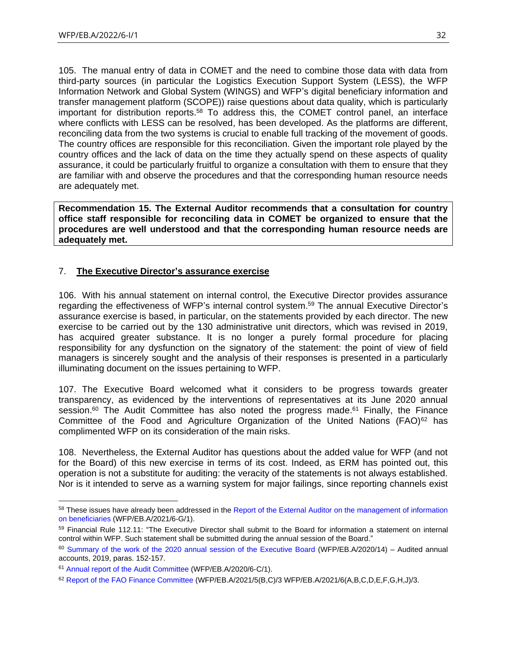105. The manual entry of data in COMET and the need to combine those data with data from third-party sources (in particular the Logistics Execution Support System (LESS), the WFP Information Network and Global System (WINGS) and WFP's digital beneficiary information and transfer management platform (SCOPE)) raise questions about data quality, which is particularly important for distribution reports.<sup>58</sup> To address this, the COMET control panel, an interface where conflicts with LESS can be resolved, has been developed. As the platforms are different, reconciling data from the two systems is crucial to enable full tracking of the movement of goods. The country offices are responsible for this reconciliation. Given the important role played by the country offices and the lack of data on the time they actually spend on these aspects of quality assurance, it could be particularly fruitful to organize a consultation with them to ensure that they are familiar with and observe the procedures and that the corresponding human resource needs are adequately met.

**Recommendation 15. The External Auditor recommends that a consultation for country office staff responsible for reconciling data in COMET be organized to ensure that the procedures are well understood and that the corresponding human resource needs are adequately met.**

## <span id="page-31-0"></span>7. **The Executive Director's assurance exercise**

106. With his annual statement on internal control, the Executive Director provides assurance regarding the effectiveness of WFP's internal control system. <sup>59</sup> The annual Executive Director's assurance exercise is based, in particular, on the statements provided by each director. The new exercise to be carried out by the 130 administrative unit directors, which was revised in 2019, has acquired greater substance. It is no longer a purely formal procedure for placing responsibility for any dysfunction on the signatory of the statement: the point of view of field managers is sincerely sought and the analysis of their responses is presented in a particularly illuminating document on the issues pertaining to WFP.

107. The Executive Board welcomed what it considers to be progress towards greater transparency, as evidenced by the interventions of representatives at its June 2020 annual session.<sup>60</sup> The Audit Committee has also noted the progress made.<sup>61</sup> Finally, the Finance Committee of the Food and Agriculture Organization of the United Nations (FAO)<sup>62</sup> has complimented WFP on its consideration of the main risks.

108. Nevertheless, the External Auditor has questions about the added value for WFP (and not for the Board) of this new exercise in terms of its cost. Indeed, as ERM has pointed out, this operation is not a substitute for auditing: the veracity of the statements is not always established. Nor is it intended to serve as a warning system for major failings, since reporting channels exist

<sup>58</sup> These issues have already been addressed in the Report of the External Auditor on the management of information [on beneficiaries](https://executiveboard.wfp.org/document_download/WFP-0000127510) (WFP/EB.A/2021/6-G/1).

<sup>59</sup> Financial Rule 112.11: "The Executive Director shall submit to the Board for information a statement on internal control within WFP. Such statement shall be submitted during the annual session of the Board."

<sup>&</sup>lt;sup>60</sup> [Summary of the work of the 2020 annual session](https://executiveboard.wfp.org/document_download/WFP-0000121255) of the Executive Board (WFP/EB.A/2020/14) – Audited annual accounts, 2019, paras. 152-157.

<sup>61</sup> [Annual report of the Audit Committee](https://executiveboard.wfp.org/document_download/WFP-0000115556) (WFP/EB.A/2020/6-C/1).

<sup>&</sup>lt;sup>62</sup> [Report of the FAO Finance Committee](https://executiveboard.wfp.org/document_download/WFP-0000128974) (WFP/EB.A/2021/5(B,C)/3 WFP/EB.A/2021/6(A,B,C,D,E,F,G,H,J)/3.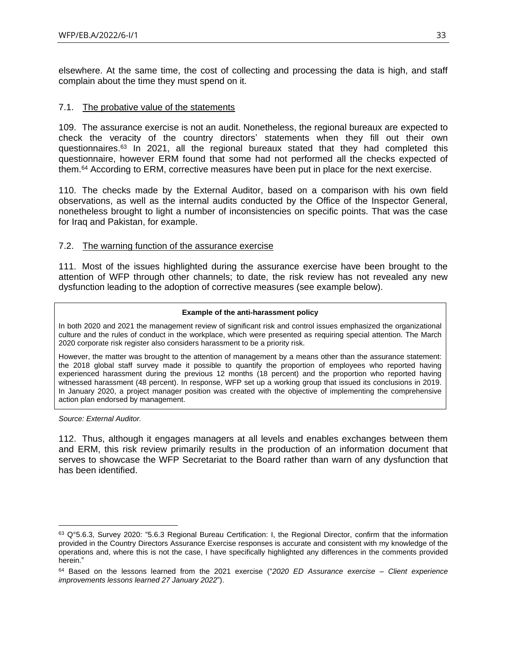elsewhere. At the same time, the cost of collecting and processing the data is high, and staff complain about the time they must spend on it.

#### <span id="page-32-0"></span>7.1. The probative value of the statements

109. The assurance exercise is not an audit. Nonetheless, the regional bureaux are expected to check the veracity of the country directors' statements when they fill out their own questionnaires.<sup>63</sup> In 2021, all the regional bureaux stated that they had completed this questionnaire, however ERM found that some had not performed all the checks expected of them.<sup>64</sup> According to ERM, corrective measures have been put in place for the next exercise.

110. The checks made by the External Auditor, based on a comparison with his own field observations, as well as the internal audits conducted by the Office of the Inspector General, nonetheless brought to light a number of inconsistencies on specific points. That was the case for Iraq and Pakistan, for example.

#### <span id="page-32-1"></span>7.2. The warning function of the assurance exercise

111. Most of the issues highlighted during the assurance exercise have been brought to the attention of WFP through other channels; to date, the risk review has not revealed any new dysfunction leading to the adoption of corrective measures (see example below).

#### **Example of the anti-harassment policy**

In both 2020 and 2021 the management review of significant risk and control issues emphasized the organizational culture and the rules of conduct in the workplace, which were presented as requiring special attention. The March 2020 corporate risk register also considers harassment to be a priority risk.

However, the matter was brought to the attention of management by a means other than the assurance statement: the 2018 global staff survey made it possible to quantify the proportion of employees who reported having experienced harassment during the previous 12 months (18 percent) and the proportion who reported having witnessed harassment (48 percent). In response, WFP set up a working group that issued its conclusions in 2019. In January 2020, a project manager position was created with the objective of implementing the comprehensive action plan endorsed by management.

*Source: External Auditor.*

112. Thus, although it engages managers at all levels and enables exchanges between them and ERM, this risk review primarily results in the production of an information document that serves to showcase the WFP Secretariat to the Board rather than warn of any dysfunction that has been identified.

<sup>63</sup> Q°5.6.3, Survey 2020: "5.6.3 Regional Bureau Certification: I, the Regional Director, confirm that the information provided in the Country Directors Assurance Exercise responses is accurate and consistent with my knowledge of the operations and, where this is not the case, I have specifically highlighted any differences in the comments provided herein."

<sup>64</sup> Based on the lessons learned from the 2021 exercise ("*2020 ED Assurance exercise – Client experience improvements lessons learned 27 January 2022*").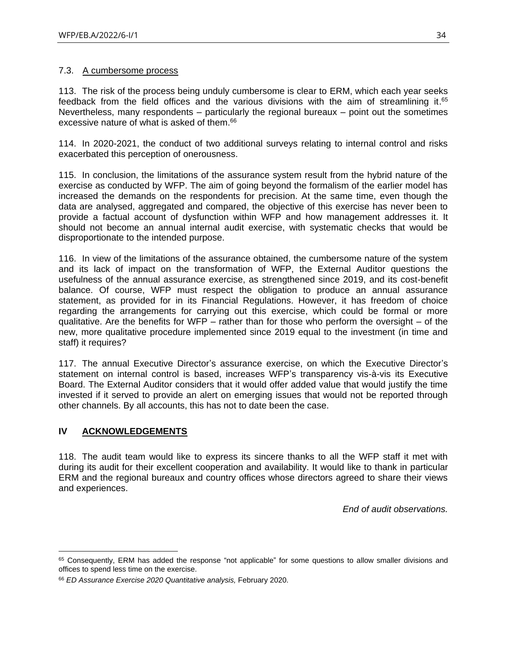#### <span id="page-33-0"></span>7.3. A cumbersome process

113. The risk of the process being unduly cumbersome is clear to ERM, which each year seeks feedback from the field offices and the various divisions with the aim of streamlining it. 65 Nevertheless, many respondents  $-$  particularly the regional bureaux  $-$  point out the sometimes excessive nature of what is asked of them. 66

114. In 2020-2021, the conduct of two additional surveys relating to internal control and risks exacerbated this perception of onerousness.

115. In conclusion, the limitations of the assurance system result from the hybrid nature of the exercise as conducted by WFP. The aim of going beyond the formalism of the earlier model has increased the demands on the respondents for precision. At the same time, even though the data are analysed, aggregated and compared, the objective of this exercise has never been to provide a factual account of dysfunction within WFP and how management addresses it. It should not become an annual internal audit exercise, with systematic checks that would be disproportionate to the intended purpose.

116. In view of the limitations of the assurance obtained, the cumbersome nature of the system and its lack of impact on the transformation of WFP, the External Auditor questions the usefulness of the annual assurance exercise, as strengthened since 2019, and its cost-benefit balance. Of course, WFP must respect the obligation to produce an annual assurance statement, as provided for in its Financial Regulations. However, it has freedom of choice regarding the arrangements for carrying out this exercise, which could be formal or more qualitative. Are the benefits for WFP – rather than for those who perform the oversight – of the new, more qualitative procedure implemented since 2019 equal to the investment (in time and staff) it requires?

117. The annual Executive Director's assurance exercise, on which the Executive Director's statement on internal control is based, increases WFP's transparency vis-à-vis its Executive Board. The External Auditor considers that it would offer added value that would justify the time invested if it served to provide an alert on emerging issues that would not be reported through other channels. By all accounts, this has not to date been the case.

## <span id="page-33-1"></span>**IV ACKNOWLEDGEMENTS**

118. The audit team would like to express its sincere thanks to all the WFP staff it met with during its audit for their excellent cooperation and availability. It would like to thank in particular ERM and the regional bureaux and country offices whose directors agreed to share their views and experiences.

*End of audit observations.*

<sup>&</sup>lt;sup>65</sup> Consequently, ERM has added the response "not applicable" for some questions to allow smaller divisions and offices to spend less time on the exercise.

<sup>66</sup> *ED Assurance Exercise 2020 Quantitative analysis,* February 2020.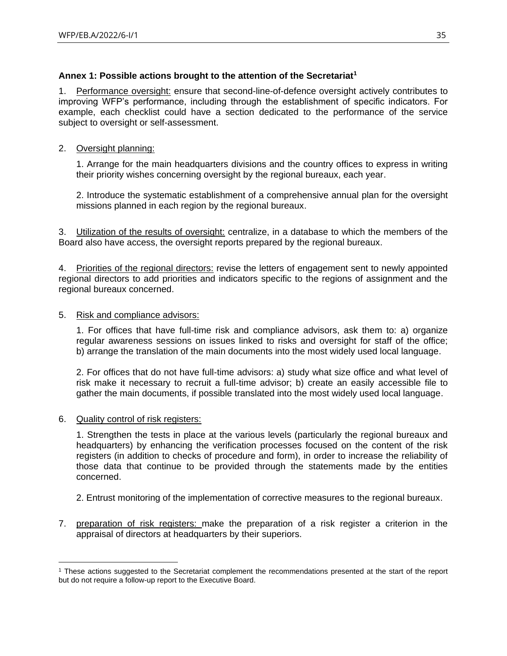## <span id="page-34-0"></span>**Annex 1: Possible actions brought to the attention of the Secretariat<sup>1</sup>**

1. Performance oversight: ensure that second-line-of-defence oversight actively contributes to improving WFP's performance, including through the establishment of specific indicators. For example, each checklist could have a section dedicated to the performance of the service subject to oversight or self-assessment.

## 2. Oversight planning:

1. Arrange for the main headquarters divisions and the country offices to express in writing their priority wishes concerning oversight by the regional bureaux, each year.

2. Introduce the systematic establishment of a comprehensive annual plan for the oversight missions planned in each region by the regional bureaux.

3. Utilization of the results of oversight: centralize, in a database to which the members of the Board also have access, the oversight reports prepared by the regional bureaux.

4. Priorities of the regional directors: revise the letters of engagement sent to newly appointed regional directors to add priorities and indicators specific to the regions of assignment and the regional bureaux concerned.

#### 5. Risk and compliance advisors:

1. For offices that have full-time risk and compliance advisors, ask them to: a) organize regular awareness sessions on issues linked to risks and oversight for staff of the office; b) arrange the translation of the main documents into the most widely used local language.

2. For offices that do not have full-time advisors: a) study what size office and what level of risk make it necessary to recruit a full-time advisor; b) create an easily accessible file to gather the main documents, if possible translated into the most widely used local language.

## 6. Quality control of risk registers:

1. Strengthen the tests in place at the various levels (particularly the regional bureaux and headquarters) by enhancing the verification processes focused on the content of the risk registers (in addition to checks of procedure and form), in order to increase the reliability of those data that continue to be provided through the statements made by the entities concerned.

- 2. Entrust monitoring of the implementation of corrective measures to the regional bureaux.
- 7. preparation of risk registers: make the preparation of a risk register a criterion in the appraisal of directors at headquarters by their superiors.

<sup>1</sup> These actions suggested to the Secretariat complement the recommendations presented at the start of the report but do not require a follow-up report to the Executive Board.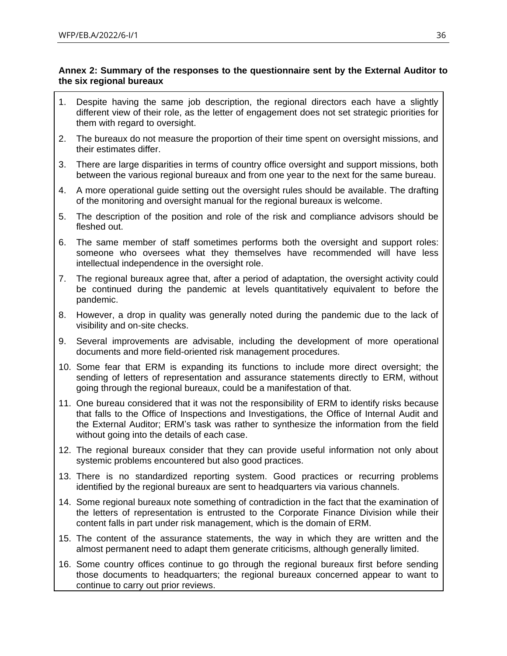## <span id="page-35-0"></span>**Annex 2: Summary of the responses to the questionnaire sent by the External Auditor to the six regional bureaux**

- 1. Despite having the same job description, the regional directors each have a slightly different view of their role, as the letter of engagement does not set strategic priorities for them with regard to oversight.
- 2. The bureaux do not measure the proportion of their time spent on oversight missions, and their estimates differ.
- 3. There are large disparities in terms of country office oversight and support missions, both between the various regional bureaux and from one year to the next for the same bureau.
- 4. A more operational guide setting out the oversight rules should be available. The drafting of the monitoring and oversight manual for the regional bureaux is welcome.
- 5. The description of the position and role of the risk and compliance advisors should be fleshed out.
- 6. The same member of staff sometimes performs both the oversight and support roles: someone who oversees what they themselves have recommended will have less intellectual independence in the oversight role.
- 7. The regional bureaux agree that, after a period of adaptation, the oversight activity could be continued during the pandemic at levels quantitatively equivalent to before the pandemic.
- 8. However, a drop in quality was generally noted during the pandemic due to the lack of visibility and on-site checks.
- 9. Several improvements are advisable, including the development of more operational documents and more field-oriented risk management procedures.
- 10. Some fear that ERM is expanding its functions to include more direct oversight; the sending of letters of representation and assurance statements directly to ERM, without going through the regional bureaux, could be a manifestation of that.
- 11. One bureau considered that it was not the responsibility of ERM to identify risks because that falls to the Office of Inspections and Investigations, the Office of Internal Audit and the External Auditor; ERM's task was rather to synthesize the information from the field without going into the details of each case.
- 12. The regional bureaux consider that they can provide useful information not only about systemic problems encountered but also good practices.
- 13. There is no standardized reporting system. Good practices or recurring problems identified by the regional bureaux are sent to headquarters via various channels.
- 14. Some regional bureaux note something of contradiction in the fact that the examination of the letters of representation is entrusted to the Corporate Finance Division while their content falls in part under risk management, which is the domain of ERM.
- 15. The content of the assurance statements, the way in which they are written and the almost permanent need to adapt them generate criticisms, although generally limited.
- 16. Some country offices continue to go through the regional bureaux first before sending those documents to headquarters; the regional bureaux concerned appear to want to continue to carry out prior reviews.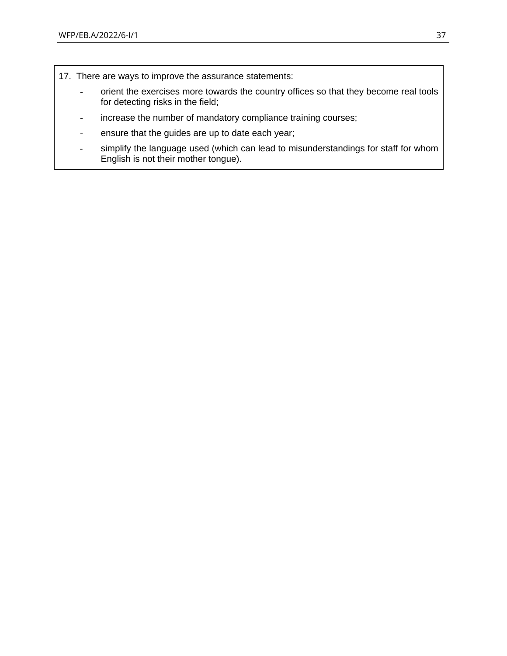- 17. There are ways to improve the assurance statements:
	- orient the exercises more towards the country offices so that they become real tools for detecting risks in the field;
	- increase the number of mandatory compliance training courses;
	- ensure that the guides are up to date each year;
	- simplify the language used (which can lead to misunderstandings for staff for whom English is not their mother tongue).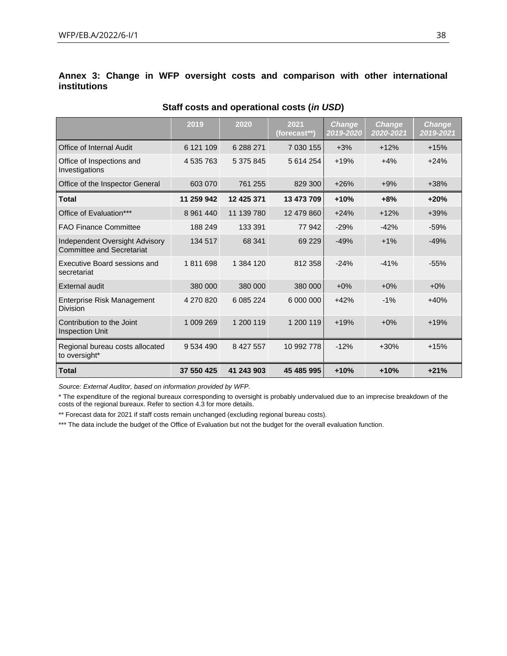<span id="page-37-0"></span>

|                     |  |  |  |  |  | Annex 3: Change in WFP oversight costs and comparison with other international |
|---------------------|--|--|--|--|--|--------------------------------------------------------------------------------|
| <b>institutions</b> |  |  |  |  |  |                                                                                |

|                                                             | 2019        | 2020       | 2021<br>(forecast**) | <b>Change</b><br>2019-2020 | <b>Change</b><br>2020-2021 | <b>Change</b><br>2019-2021 |
|-------------------------------------------------------------|-------------|------------|----------------------|----------------------------|----------------------------|----------------------------|
| Office of Internal Audit                                    | 6 121 109   | 6 288 271  | 7 030 155            | $+3%$                      | $+12%$                     | $+15%$                     |
| Office of Inspections and<br>Investigations                 | 4 535 763   | 5 375 845  | 5 614 254            | $+19%$                     | $+4%$                      | $+24%$                     |
| Office of the Inspector General                             | 603 070     | 761 255    | 829 300              | $+26%$                     | $+9%$                      | $+38%$                     |
| <b>Total</b>                                                | 11 259 942  | 12 425 371 | 13 473 709           | $+10%$                     | $+8%$                      | $+20%$                     |
| Office of Evaluation***                                     | 8 9 61 4 40 | 11 139 780 | 12 479 860           | $+24%$                     | $+12%$                     | $+39%$                     |
| <b>FAO Finance Committee</b>                                | 188 249     | 133 391    | 77 942               | $-29%$                     | $-42%$                     | $-59%$                     |
| Independent Oversight Advisory<br>Committee and Secretariat | 134 517     | 68 341     | 69 229               | $-49%$                     | $+1%$                      | $-49%$                     |
| Executive Board sessions and<br>secretariat                 | 1811698     | 1 384 120  | 812 358              | $-24%$                     | $-41%$                     | $-55%$                     |
| <b>External audit</b>                                       | 380 000     | 380 000    | 380 000              | $+0\%$                     | $+0\%$                     | $+0\%$                     |
| Enterprise Risk Management<br><b>Division</b>               | 4 270 820   | 6 085 224  | 6 000 000            | $+42%$                     | $-1%$                      | $+40%$                     |
| Contribution to the Joint<br><b>Inspection Unit</b>         | 1 009 269   | 1 200 119  | 1 200 119            | $+19%$                     | $+0\%$                     | $+19%$                     |
| Regional bureau costs allocated<br>to oversight*            | 9 534 490   | 8 427 557  | 10 992 778           | $-12%$                     | $+30%$                     | $+15%$                     |
| <b>Total</b>                                                | 37 550 425  | 41 243 903 | 45 485 995           | $+10%$                     | $+10%$                     | $+21%$                     |

#### **Staff costs and operational costs (***in USD***)**

*Source: External Auditor, based on information provided by WFP.*

\* The expenditure of the regional bureaux corresponding to oversight is probably undervalued due to an imprecise breakdown of the costs of the regional bureaux. Refer to section 4.3 for more details.

\*\* Forecast data for 2021 if staff costs remain unchanged (excluding regional bureau costs).

\*\*\* The data include the budget of the Office of Evaluation but not the budget for the overall evaluation function.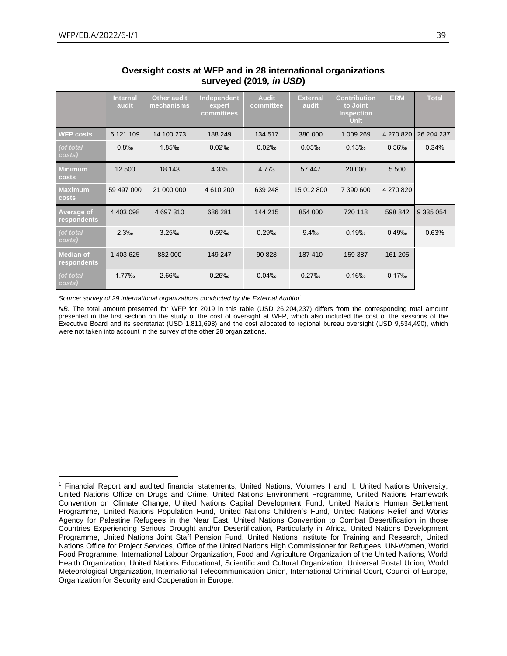|                                  | <b>Internal</b><br>audit | <b>Other audit</b><br>mechanisms | Independent<br>expert<br>committees | <b>Audit</b><br>committee | <b>External</b><br>audit | <b>Contribution</b><br>to Joint<br><b>Inspection</b><br><b>Unit</b> | <b>ERM</b> | <b>Total</b> |
|----------------------------------|--------------------------|----------------------------------|-------------------------------------|---------------------------|--------------------------|---------------------------------------------------------------------|------------|--------------|
| <b>WFP costs</b>                 | 6 121 109                | 14 100 273                       | 188 249                             | 134 517                   | 380 000                  | 1 009 269                                                           | 4 270 820  | 26 204 237   |
| (of total<br>costs)              | 0.8%                     | 1.85‰                            | 0.02%                               | 0.02%                     | 0.05%                    | 0.13%                                                               | 0.56%      | 0.34%        |
| <b>Minimum</b><br>costs          | 12 500                   | 18 143                           | 4 3 3 5                             | 4 7 7 3                   | 57 447                   | 20 000                                                              | 5 5 0 0    |              |
| <b>Maximum</b><br>costs          | 59 497 000               | 21 000 000                       | 4 610 200                           | 639 248                   | 15 012 800               | 7 390 600                                                           | 4 270 820  |              |
| <b>Average of</b><br>respondents | 4 403 098                | 4 697 310                        | 686 281                             | 144 215                   | 854 000                  | 720 118                                                             | 598 842    | 9 335 054    |
| (of total<br>costs)              | 2.3%                     | 3.25%                            | 0.59%                               | 0.29%                     | 9.4%                     | 0.19%                                                               | 0.49%      | 0.63%        |
| <b>Median of</b><br>respondents  | 1 403 625                | 882 000                          | 149 247                             | 90 828                    | 187 410                  | 159 387                                                             | 161 205    |              |
| (of total<br>costs)              | 1.77%                    | 2.66%                            | 0.25%                               | 0.04%                     | 0.27%                    | 0.16%                                                               | 0.17%      |              |

#### **Oversight costs at WFP and in 28 international organizations surveyed (2019***, in USD***)**

Source: survey of 29 international organizations conducted by the External Auditor<sup>1</sup>.

*NB*: The total amount presented for WFP for 2019 in this table (USD 26,204,237) differs from the corresponding total amount presented in the first section on the study of the cost of oversight at WFP, which also included the cost of the sessions of the Executive Board and its secretariat (USD 1,811,698) and the cost allocated to regional bureau oversight (USD 9,534,490), which were not taken into account in the survey of the other 28 organizations.

<sup>1</sup> Financial Report and audited financial statements, United Nations, Volumes I and II, United Nations University, United Nations Office on Drugs and Crime, United Nations Environment Programme, United Nations Framework Convention on Climate Change, United Nations Capital Development Fund, United Nations Human Settlement Programme, United Nations Population Fund, United Nations Children's Fund, United Nations Relief and Works Agency for Palestine Refugees in the Near East, United Nations Convention to Combat Desertification in those Countries Experiencing Serious Drought and/or Desertification, Particularly in Africa, United Nations Development Programme, United Nations Joint Staff Pension Fund, United Nations Institute for Training and Research, United Nations Office for Project Services, Office of the United Nations High Commissioner for Refugees, UN-Women, World Food Programme, International Labour Organization, Food and Agriculture Organization of the United Nations, World Health Organization, United Nations Educational, Scientific and Cultural Organization, Universal Postal Union, World Meteorological Organization, International Telecommunication Union, International Criminal Court, Council of Europe, Organization for Security and Cooperation in Europe.